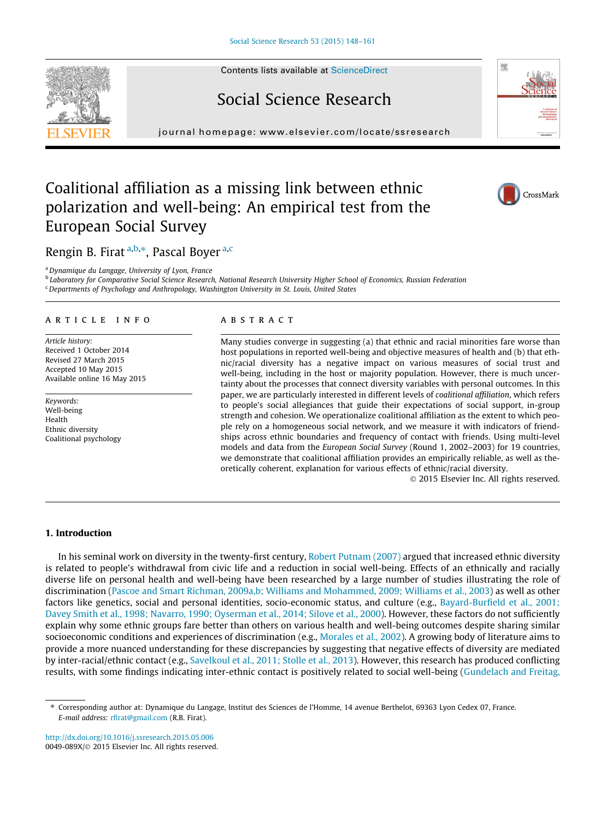Contents lists available at [ScienceDirect](http://www.sciencedirect.com/science/journal/0049089X)

# Social Science Research

journal homepage: [www.elsevier.com/locate/ssresearch](http://www.elsevier.com/locate/ssresearch)

# Coalitional affiliation as a missing link between ethnic polarization and well-being: An empirical test from the European Social Survey

## Rengin B. Firat <sup>a,b,\*</sup>, Pascal Boyer <sup>a,c</sup>

<sup>a</sup> Dynamique du Langage, University of Lyon, France

**b Laboratory for Comparative Social Science Research, National Research University Higher School of Economics, Russian Federation** <sup>c</sup> Departments of Psychology and Anthropology, Washington University in St. Louis, United States

#### article info

Article history: Received 1 October 2014 Revised 27 March 2015 Accepted 10 May 2015 Available online 16 May 2015

Keywords: Well-being Health Ethnic diversity Coalitional psychology

### **ABSTRACT**

Many studies converge in suggesting (a) that ethnic and racial minorities fare worse than host populations in reported well-being and objective measures of health and (b) that ethnic/racial diversity has a negative impact on various measures of social trust and well-being, including in the host or majority population. However, there is much uncertainty about the processes that connect diversity variables with personal outcomes. In this paper, we are particularly interested in different levels of coalitional affiliation, which refers to people's social allegiances that guide their expectations of social support, in-group strength and cohesion. We operationalize coalitional affiliation as the extent to which people rely on a homogeneous social network, and we measure it with indicators of friendships across ethnic boundaries and frequency of contact with friends. Using multi-level models and data from the European Social Survey (Round 1, 2002–2003) for 19 countries, we demonstrate that coalitional affiliation provides an empirically reliable, as well as theoretically coherent, explanation for various effects of ethnic/racial diversity.

- 2015 Elsevier Inc. All rights reserved.

#### 1. Introduction

In his seminal work on diversity in the twenty-first century, [Robert Putnam \(2007\)](#page-12-0) argued that increased ethnic diversity is related to people's withdrawal from civic life and a reduction in social well-being. Effects of an ethnically and racially diverse life on personal health and well-being have been researched by a large number of studies illustrating the role of discrimination [\(Pascoe and Smart Richman, 2009a,b; Williams and Mohammed, 2009; Williams et al., 2003\)](#page-12-0) as well as other factors like genetics, social and personal identities, socio-economic status, and culture (e.g., [Bayard-Burfield et al., 2001;](#page-10-0) [Davey Smith et al., 1998; Navarro, 1990; Oyserman et al., 2014; Silove et al., 2000](#page-10-0)). However, these factors do not sufficiently explain why some ethnic groups fare better than others on various health and well-being outcomes despite sharing similar socioeconomic conditions and experiences of discrimination (e.g., [Morales et al., 2002\)](#page-12-0). A growing body of literature aims to provide a more nuanced understanding for these discrepancies by suggesting that negative effects of diversity are mediated by inter-racial/ethnic contact (e.g., [Savelkoul et al., 2011; Stolle et al., 2013](#page-12-0)). However, this research has produced conflicting results, with some findings indicating inter-ethnic contact is positively related to social well-being [\(Gundelach and Freitag,](#page-11-0)

⇑ Corresponding author at: Dynamique du Langage, Institut des Sciences de l'Homme, 14 avenue Berthelot, 69363 Lyon Cedex 07, France. E-mail address: [rfirat@gmail.com](mailto:rfirat@gmail.com) (R.B. Firat).

<http://dx.doi.org/10.1016/j.ssresearch.2015.05.006> 0049-089X/© 2015 Elsevier Inc. All rights reserved.





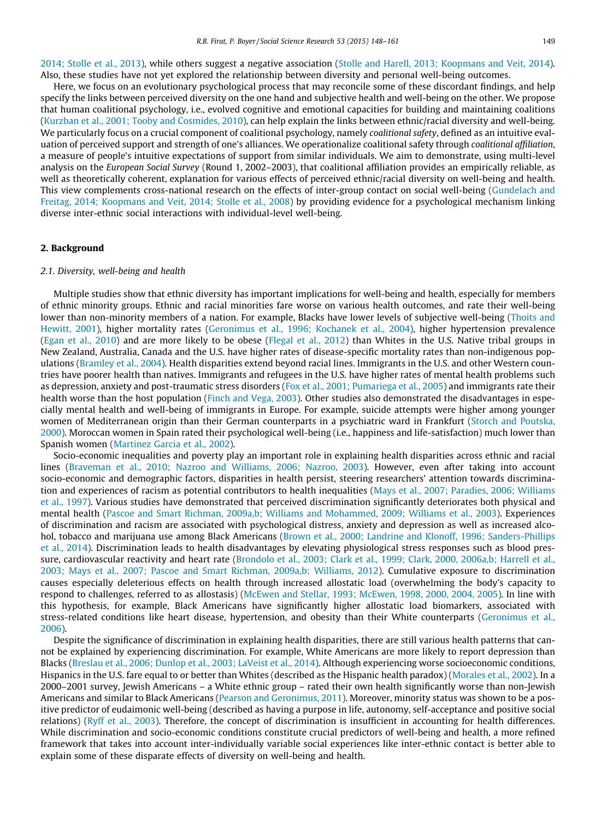[2014; Stolle et al., 2013\)](#page-11-0), while others suggest a negative association ([Stolle and Harell, 2013; Koopmans and Veit, 2014](#page-12-0)). Also, these studies have not yet explored the relationship between diversity and personal well-being outcomes.

Here, we focus on an evolutionary psychological process that may reconcile some of these discordant findings, and help specify the links between perceived diversity on the one hand and subjective health and well-being on the other. We propose that human coalitional psychology, i.e., evolved cognitive and emotional capacities for building and maintaining coalitions ([Kurzban et al., 2001; Tooby and Cosmides, 2010](#page-11-0)), can help explain the links between ethnic/racial diversity and well-being. We particularly focus on a crucial component of coalitional psychology, namely coalitional safety, defined as an intuitive evaluation of perceived support and strength of one's alliances. We operationalize coalitional safety through coalitional affiliation, a measure of people's intuitive expectations of support from similar individuals. We aim to demonstrate, using multi-level analysis on the European Social Survey (Round 1, 2002–2003), that coalitional affiliation provides an empirically reliable, as well as theoretically coherent, explanation for various effects of perceived ethnic/racial diversity on well-being and health. This view complements cross-national research on the effects of inter-group contact on social well-being ([Gundelach and](#page-11-0) [Freitag, 2014; Koopmans and Veit, 2014; Stolle et al., 2008\)](#page-11-0) by providing evidence for a psychological mechanism linking diverse inter-ethnic social interactions with individual-level well-being.

#### 2. Background

#### 2.1. Diversity, well-being and health

Multiple studies show that ethnic diversity has important implications for well-being and health, especially for members of ethnic minority groups. Ethnic and racial minorities fare worse on various health outcomes, and rate their well-being lower than non-minority members of a nation. For example, Blacks have lower levels of subjective well-being [\(Thoits and](#page-12-0) [Hewitt, 2001](#page-12-0)), higher mortality rates [\(Geronimus et al., 1996; Kochanek et al., 2004](#page-11-0)), higher hypertension prevalence ([Egan et al., 2010](#page-11-0)) and are more likely to be obese ([Flegal et al., 2012](#page-11-0)) than Whites in the U.S. Native tribal groups in New Zealand, Australia, Canada and the U.S. have higher rates of disease-specific mortality rates than non-indigenous populations [\(Bramley et al., 2004](#page-10-0)). Health disparities extend beyond racial lines. Immigrants in the U.S. and other Western countries have poorer health than natives. Immigrants and refugees in the U.S. have higher rates of mental health problems such as depression, anxiety and post-traumatic stress disorders ([Fox et al., 2001; Pumariega et al., 2005\)](#page-11-0) and immigrants rate their health worse than the host population [\(Finch and Vega, 2003](#page-11-0)). Other studies also demonstrated the disadvantages in especially mental health and well-being of immigrants in Europe. For example, suicide attempts were higher among younger women of Mediterranean origin than their German counterparts in a psychiatric ward in Frankfurt [\(Storch and Poutska,](#page-12-0) [2000\)](#page-12-0). Moroccan women in Spain rated their psychological well-being (i.e., happiness and life-satisfaction) much lower than Spanish women ([Martinez Garcia et al., 2002](#page-11-0)).

Socio-economic inequalities and poverty play an important role in explaining health disparities across ethnic and racial lines ([Braveman et al., 2010; Nazroo and Williams, 2006; Nazroo, 2003\)](#page-10-0). However, even after taking into account socio-economic and demographic factors, disparities in health persist, steering researchers' attention towards discrimination and experiences of racism as potential contributors to health inequalities ([Mays et al., 2007; Paradies, 2006; Williams](#page-11-0) [et al., 1997](#page-11-0)). Various studies have demonstrated that perceived discrimination significantly deteriorates both physical and mental health [\(Pascoe and Smart Richman, 2009a,b; Williams and Mohammed, 2009; Williams et al., 2003](#page-12-0)). Experiences of discrimination and racism are associated with psychological distress, anxiety and depression as well as increased alcohol, tobacco and marijuana use among Black Americans ([Brown et al., 2000; Landrine and Klonoff, 1996; Sanders-Phillips](#page-10-0) [et al., 2014](#page-10-0)). Discrimination leads to health disadvantages by elevating physiological stress responses such as blood pressure, cardiovascular reactivity and heart rate [\(Brondolo et al., 2003; Clark et al., 1999; Clark, 2000, 2006a,b; Harrell et al.,](#page-10-0) [2003; Mays et al., 2007; Pascoe and Smart Richman, 2009a,b; Williams, 2012](#page-10-0)). Cumulative exposure to discrimination causes especially deleterious effects on health through increased allostatic load (overwhelming the body's capacity to respond to challenges, referred to as allostasis) ([McEwen and Stellar, 1993; McEwen, 1998, 2000, 2004, 2005](#page-12-0)). In line with this hypothesis, for example, Black Americans have significantly higher allostatic load biomarkers, associated with stress-related conditions like heart disease, hypertension, and obesity than their White counterparts [\(Geronimus et al.,](#page-11-0) [2006\)](#page-11-0).

Despite the significance of discrimination in explaining health disparities, there are still various health patterns that cannot be explained by experiencing discrimination. For example, White Americans are more likely to report depression than Blacks ([Breslau et al., 2006; Dunlop et al., 2003; LaVeist et al., 2014\)](#page-10-0). Although experiencing worse socioeconomic conditions, Hispanics in the U.S. fare equal to or better than Whites (described as the Hispanic health paradox) ([Morales et al., 2002\)](#page-12-0). In a 2000–2001 survey, Jewish Americans – a White ethnic group – rated their own health significantly worse than non-Jewish Americans and similar to Black Americans ([Pearson and Geronimus, 2011](#page-12-0)). Moreover, minority status was shown to be a positive predictor of eudaimonic well-being (described as having a purpose in life, autonomy, self-acceptance and positive social relations) [\(Ryff et al., 2003\)](#page-12-0). Therefore, the concept of discrimination is insufficient in accounting for health differences. While discrimination and socio-economic conditions constitute crucial predictors of well-being and health, a more refined framework that takes into account inter-individually variable social experiences like inter-ethnic contact is better able to explain some of these disparate effects of diversity on well-being and health.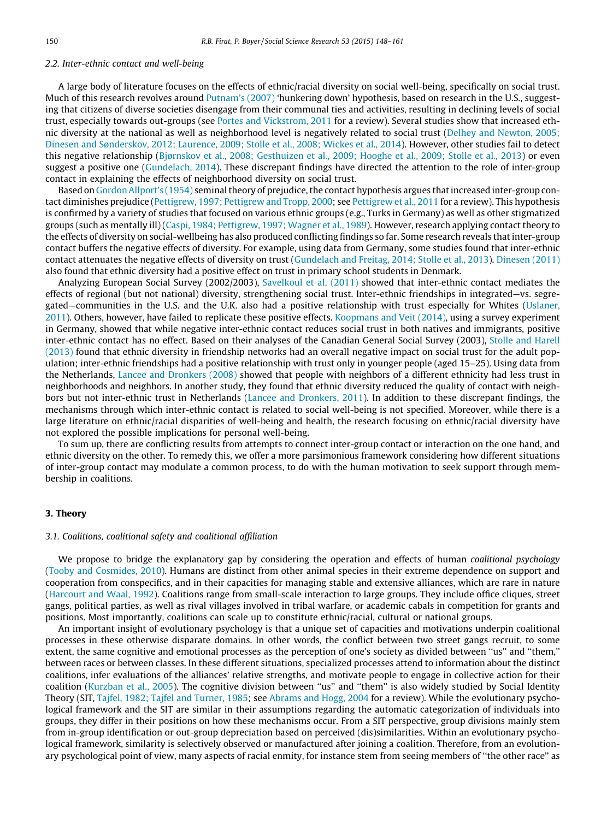#### 2.2. Inter-ethnic contact and well-being

A large body of literature focuses on the effects of ethnic/racial diversity on social well-being, specifically on social trust. Much of this research revolves around [Putnam's \(2007\)](#page-12-0) 'hunkering down' hypothesis, based on research in the U.S., suggesting that citizens of diverse societies disengage from their communal ties and activities, resulting in declining levels of social trust, especially towards out-groups (see [Portes and Vickstrom, 2011](#page-12-0) for a review). Several studies show that increased ethnic diversity at the national as well as neighborhood level is negatively related to social trust [\(Delhey and Newton, 2005;](#page-10-0) [Dinesen and Sønderskov, 2012; Laurence, 2009; Stolle et al., 2008; Wickes et al., 2014\)](#page-10-0). However, other studies fail to detect this negative relationship [\(Bjørnskov et al., 2008; Gesthuizen et al., 2009; Hooghe et al., 2009; Stolle et al., 2013\)](#page-10-0) or even suggest a positive one ([Gundelach, 2014\)](#page-11-0). These discrepant findings have directed the attention to the role of inter-group contact in explaining the effects of neighborhood diversity on social trust.

Based on [Gordon Allport's \(1954\)](#page-10-0) seminal theory of prejudice, the contact hypothesis argues that increased inter-group contact diminishes prejudice ([Pettigrew, 1997; Pettigrew and Tropp, 2000](#page-12-0); see [Pettigrew et al., 2011](#page-12-0) for a review). This hypothesis is confirmed by a variety of studies that focused on various ethnic groups (e.g., Turks in Germany) as well as other stigmatized groups (such as mentally ill) [\(Caspi, 1984; Pettigrew, 1997; Wagner et al., 1989](#page-10-0)). However, research applying contact theory to the effects of diversity on social-wellbeing has also produced conflicting findings so far. Some research reveals that inter-group contact buffers the negative effects of diversity. For example, using data from Germany, some studies found that inter-ethnic contact attenuates the negative effects of diversity on trust ([Gundelach and Freitag, 2014; Stolle et al., 2013\)](#page-11-0). [Dinesen \(2011\)](#page-11-0) also found that ethnic diversity had a positive effect on trust in primary school students in Denmark.

Analyzing European Social Survey (2002/2003), [Savelkoul et al. \(2011\)](#page-12-0) showed that inter-ethnic contact mediates the effects of regional (but not national) diversity, strengthening social trust. Inter-ethnic friendships in integrated—vs. segregated—communities in the U.S. and the U.K. also had a positive relationship with trust especially for Whites ([Uslaner,](#page-12-0) [2011](#page-12-0)). Others, however, have failed to replicate these positive effects. [Koopmans and Veit \(2014\),](#page-11-0) using a survey experiment in Germany, showed that while negative inter-ethnic contact reduces social trust in both natives and immigrants, positive inter-ethnic contact has no effect. Based on their analyses of the Canadian General Social Survey (2003), [Stolle and Harell](#page-12-0) [\(2013\)](#page-12-0) found that ethnic diversity in friendship networks had an overall negative impact on social trust for the adult population; inter-ethnic friendships had a positive relationship with trust only in younger people (aged 15–25). Using data from the Netherlands, [Lancee and Dronkers \(2008\)](#page-11-0) showed that people with neighbors of a different ethnicity had less trust in neighborhoods and neighbors. In another study, they found that ethnic diversity reduced the quality of contact with neighbors but not inter-ethnic trust in Netherlands ([Lancee and Dronkers, 2011](#page-11-0)). In addition to these discrepant findings, the mechanisms through which inter-ethnic contact is related to social well-being is not specified. Moreover, while there is a large literature on ethnic/racial disparities of well-being and health, the research focusing on ethnic/racial diversity have not explored the possible implications for personal well-being.

To sum up, there are conflicting results from attempts to connect inter-group contact or interaction on the one hand, and ethnic diversity on the other. To remedy this, we offer a more parsimonious framework considering how different situations of inter-group contact may modulate a common process, to do with the human motivation to seek support through membership in coalitions.

#### 3. Theory

#### 3.1. Coalitions, coalitional safety and coalitional affiliation

We propose to bridge the explanatory gap by considering the operation and effects of human coalitional psychology [\(Tooby and Cosmides, 2010](#page-12-0)). Humans are distinct from other animal species in their extreme dependence on support and cooperation from conspecifics, and in their capacities for managing stable and extensive alliances, which are rare in nature [\(Harcourt and Waal, 1992\)](#page-11-0). Coalitions range from small-scale interaction to large groups. They include office cliques, street gangs, political parties, as well as rival villages involved in tribal warfare, or academic cabals in competition for grants and positions. Most importantly, coalitions can scale up to constitute ethnic/racial, cultural or national groups.

An important insight of evolutionary psychology is that a unique set of capacities and motivations underpin coalitional processes in these otherwise disparate domains. In other words, the conflict between two street gangs recruit, to some extent, the same cognitive and emotional processes as the perception of one's society as divided between ''us'' and ''them,'' between races or between classes. In these different situations, specialized processes attend to information about the distinct coalitions, infer evaluations of the alliances' relative strengths, and motivate people to engage in collective action for their coalition ([Kurzban et al., 2005](#page-11-0)). The cognitive division between ''us'' and ''them'' is also widely studied by Social Identity Theory (SIT, [Tajfel, 1982; Tajfel and Turner, 1985;](#page-12-0) see [Abrams and Hogg, 2004](#page-10-0) for a review). While the evolutionary psychological framework and the SIT are similar in their assumptions regarding the automatic categorization of individuals into groups, they differ in their positions on how these mechanisms occur. From a SIT perspective, group divisions mainly stem from in-group identification or out-group depreciation based on perceived (dis)similarities. Within an evolutionary psychological framework, similarity is selectively observed or manufactured after joining a coalition. Therefore, from an evolutionary psychological point of view, many aspects of racial enmity, for instance stem from seeing members of ''the other race'' as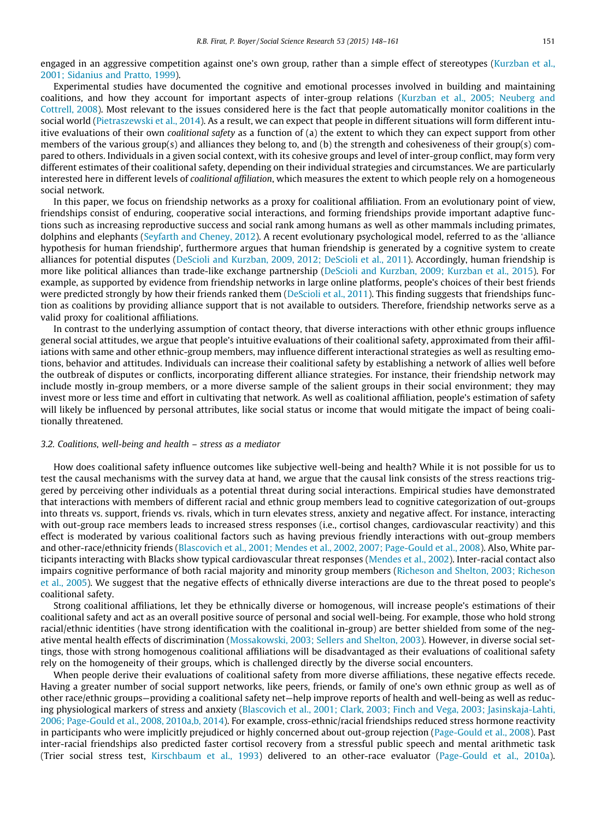engaged in an aggressive competition against one's own group, rather than a simple effect of stereotypes ([Kurzban et al.,](#page-11-0) [2001; Sidanius and Pratto, 1999\)](#page-11-0).

Experimental studies have documented the cognitive and emotional processes involved in building and maintaining coalitions, and how they account for important aspects of inter-group relations ([Kurzban et al., 2005; Neuberg and](#page-11-0) [Cottrell, 2008\)](#page-11-0). Most relevant to the issues considered here is the fact that people automatically monitor coalitions in the social world [\(Pietraszewski et al., 2014\)](#page-12-0). As a result, we can expect that people in different situations will form different intuitive evaluations of their own coalitional safety as a function of (a) the extent to which they can expect support from other members of the various group(s) and alliances they belong to, and (b) the strength and cohesiveness of their group(s) compared to others. Individuals in a given social context, with its cohesive groups and level of inter-group conflict, may form very different estimates of their coalitional safety, depending on their individual strategies and circumstances. We are particularly interested here in different levels of coalitional affiliation, which measures the extent to which people rely on a homogeneous social network.

In this paper, we focus on friendship networks as a proxy for coalitional affiliation. From an evolutionary point of view, friendships consist of enduring, cooperative social interactions, and forming friendships provide important adaptive functions such as increasing reproductive success and social rank among humans as well as other mammals including primates, dolphins and elephants ([Seyfarth and Cheney, 2012\)](#page-12-0). A recent evolutionary psychological model, referred to as the 'alliance hypothesis for human friendship', furthermore argues that human friendship is generated by a cognitive system to create alliances for potential disputes ([DeScioli and Kurzban, 2009, 2012; DeScioli et al., 2011](#page-10-0)). Accordingly, human friendship is more like political alliances than trade-like exchange partnership [\(DeScioli and Kurzban, 2009; Kurzban et al., 2015](#page-10-0)). For example, as supported by evidence from friendship networks in large online platforms, people's choices of their best friends were predicted strongly by how their friends ranked them [\(DeScioli et al., 2011\)](#page-11-0). This finding suggests that friendships function as coalitions by providing alliance support that is not available to outsiders. Therefore, friendship networks serve as a valid proxy for coalitional affiliations.

In contrast to the underlying assumption of contact theory, that diverse interactions with other ethnic groups influence general social attitudes, we argue that people's intuitive evaluations of their coalitional safety, approximated from their affiliations with same and other ethnic-group members, may influence different interactional strategies as well as resulting emotions, behavior and attitudes. Individuals can increase their coalitional safety by establishing a network of allies well before the outbreak of disputes or conflicts, incorporating different alliance strategies. For instance, their friendship network may include mostly in-group members, or a more diverse sample of the salient groups in their social environment; they may invest more or less time and effort in cultivating that network. As well as coalitional affiliation, people's estimation of safety will likely be influenced by personal attributes, like social status or income that would mitigate the impact of being coalitionally threatened.

#### 3.2. Coalitions, well-being and health – stress as a mediator

How does coalitional safety influence outcomes like subjective well-being and health? While it is not possible for us to test the causal mechanisms with the survey data at hand, we argue that the causal link consists of the stress reactions triggered by perceiving other individuals as a potential threat during social interactions. Empirical studies have demonstrated that interactions with members of different racial and ethnic group members lead to cognitive categorization of out-groups into threats vs. support, friends vs. rivals, which in turn elevates stress, anxiety and negative affect. For instance, interacting with out-group race members leads to increased stress responses (i.e., cortisol changes, cardiovascular reactivity) and this effect is moderated by various coalitional factors such as having previous friendly interactions with out-group members and other-race/ethnicity friends ([Blascovich et al., 2001; Mendes et al., 2002, 2007; Page-Gould et al., 2008](#page-10-0)). Also, White participants interacting with Blacks show typical cardiovascular threat responses [\(Mendes et al., 2002\)](#page-12-0). Inter-racial contact also impairs cognitive performance of both racial majority and minority group members ([Richeson and Shelton, 2003; Richeson](#page-12-0) [et al., 2005\)](#page-12-0). We suggest that the negative effects of ethnically diverse interactions are due to the threat posed to people's coalitional safety.

Strong coalitional affiliations, let they be ethnically diverse or homogenous, will increase people's estimations of their coalitional safety and act as an overall positive source of personal and social well-being. For example, those who hold strong racial/ethnic identities (have strong identification with the coalitional in-group) are better shielded from some of the negative mental health effects of discrimination ([Mossakowski, 2003; Sellers and Shelton, 2003](#page-12-0)). However, in diverse social settings, those with strong homogenous coalitional affiliations will be disadvantaged as their evaluations of coalitional safety rely on the homogeneity of their groups, which is challenged directly by the diverse social encounters.

When people derive their evaluations of coalitional safety from more diverse affiliations, these negative effects recede. Having a greater number of social support networks, like peers, friends, or family of one's own ethnic group as well as of other race/ethnic groups—providing a coalitional safety net—help improve reports of health and well-being as well as reducing physiological markers of stress and anxiety ([Blascovich et al., 2001; Clark, 2003; Finch and Vega, 2003; Jasinskaja-Lahti,](#page-10-0) [2006; Page-Gould et al., 2008, 2010a,b, 2014\)](#page-10-0). For example, cross-ethnic/racial friendships reduced stress hormone reactivity in participants who were implicitly prejudiced or highly concerned about out-group rejection ([Page-Gould et al., 2008](#page-12-0)). Past inter-racial friendships also predicted faster cortisol recovery from a stressful public speech and mental arithmetic task (Trier social stress test, [Kirschbaum et al., 1993\)](#page-11-0) delivered to an other-race evaluator [\(Page-Gould et al., 2010a](#page-12-0)).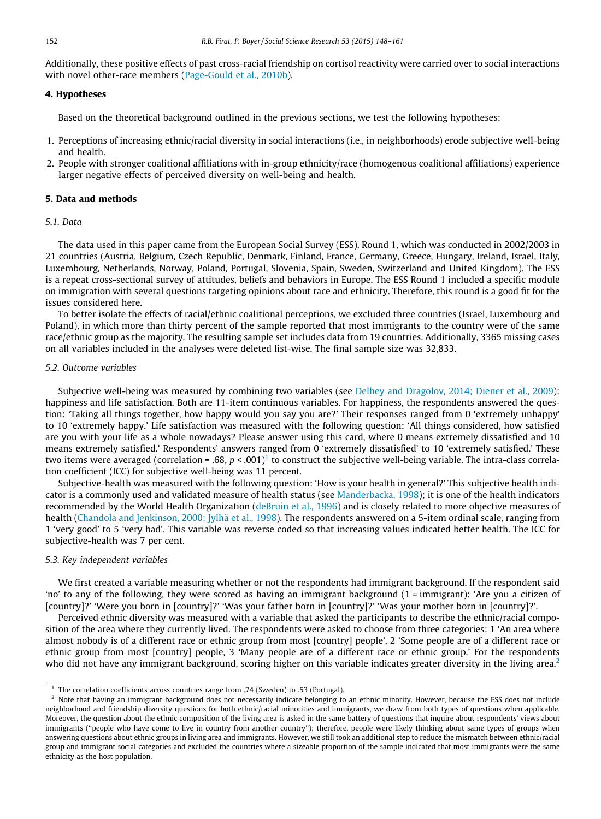Additionally, these positive effects of past cross-racial friendship on cortisol reactivity were carried over to social interactions with novel other-race members ([Page-Gould et al., 2010b\)](#page-12-0).

#### 4. Hypotheses

Based on the theoretical background outlined in the previous sections, we test the following hypotheses:

- 1. Perceptions of increasing ethnic/racial diversity in social interactions (i.e., in neighborhoods) erode subjective well-being and health.
- 2. People with stronger coalitional affiliations with in-group ethnicity/race (homogenous coalitional affiliations) experience larger negative effects of perceived diversity on well-being and health.

#### 5. Data and methods

#### 5.1. Data

The data used in this paper came from the European Social Survey (ESS), Round 1, which was conducted in 2002/2003 in 21 countries (Austria, Belgium, Czech Republic, Denmark, Finland, France, Germany, Greece, Hungary, Ireland, Israel, Italy, Luxembourg, Netherlands, Norway, Poland, Portugal, Slovenia, Spain, Sweden, Switzerland and United Kingdom). The ESS is a repeat cross-sectional survey of attitudes, beliefs and behaviors in Europe. The ESS Round 1 included a specific module on immigration with several questions targeting opinions about race and ethnicity. Therefore, this round is a good fit for the issues considered here.

To better isolate the effects of racial/ethnic coalitional perceptions, we excluded three countries (Israel, Luxembourg and Poland), in which more than thirty percent of the sample reported that most immigrants to the country were of the same race/ethnic group as the majority. The resulting sample set includes data from 19 countries. Additionally, 3365 missing cases on all variables included in the analyses were deleted list-wise. The final sample size was 32,833.

#### 5.2. Outcome variables

Subjective well-being was measured by combining two variables (see [Delhey and Dragolov, 2014; Diener et al., 2009\)](#page-10-0): happiness and life satisfaction. Both are 11-item continuous variables. For happiness, the respondents answered the question: 'Taking all things together, how happy would you say you are?' Their responses ranged from 0 'extremely unhappy' to 10 'extremely happy.' Life satisfaction was measured with the following question: 'All things considered, how satisfied are you with your life as a whole nowadays? Please answer using this card, where 0 means extremely dissatisfied and 10 means extremely satisfied.' Respondents' answers ranged from 0 'extremely dissatisfied' to 10 'extremely satisfied.' These two items were averaged (correlation = .68,  $p < .001$ <sup>1</sup> to construct the subjective well-being variable. The intra-class correlation coefficient (ICC) for subjective well-being was 11 percent.

Subjective-health was measured with the following question: 'How is your health in general?' This subjective health indicator is a commonly used and validated measure of health status (see [Manderbacka, 1998\)](#page-11-0); it is one of the health indicators recommended by the World Health Organization ([deBruin et al., 1996\)](#page-10-0) and is closely related to more objective measures of health [\(Chandola and Jenkinson, 2000; Jylhä et al., 1998\)](#page-10-0). The respondents answered on a 5-item ordinal scale, ranging from 1 'very good' to 5 'very bad'. This variable was reverse coded so that increasing values indicated better health. The ICC for subjective-health was 7 per cent.

#### 5.3. Key independent variables

We first created a variable measuring whether or not the respondents had immigrant background. If the respondent said 'no' to any of the following, they were scored as having an immigrant background (1 = immigrant): 'Are you a citizen of [country]?' 'Were you born in [country]?' 'Was your father born in [country]?' 'Was your mother born in [country]?'.

Perceived ethnic diversity was measured with a variable that asked the participants to describe the ethnic/racial composition of the area where they currently lived. The respondents were asked to choose from three categories: 1 'An area where almost nobody is of a different race or ethnic group from most [country] people', 2 'Some people are of a different race or ethnic group from most [country] people, 3 'Many people are of a different race or ethnic group.' For the respondents who did not have any immigrant background, scoring higher on this variable indicates greater diversity in the living area.<sup>2</sup>

<sup>1</sup> The correlation coefficients across countries range from .74 (Sweden) to .53 (Portugal).

<sup>&</sup>lt;sup>2</sup> Note that having an immigrant background does not necessarily indicate belonging to an ethnic minority. However, because the ESS does not include neighborhood and friendship diversity questions for both ethnic/racial minorities and immigrants, we draw from both types of questions when applicable. Moreover, the question about the ethnic composition of the living area is asked in the same battery of questions that inquire about respondents' views about immigrants (''people who have come to live in country from another country''); therefore, people were likely thinking about same types of groups when answering questions about ethnic groups in living area and immigrants. However, we still took an additional step to reduce the mismatch between ethnic/racial group and immigrant social categories and excluded the countries where a sizeable proportion of the sample indicated that most immigrants were the same ethnicity as the host population.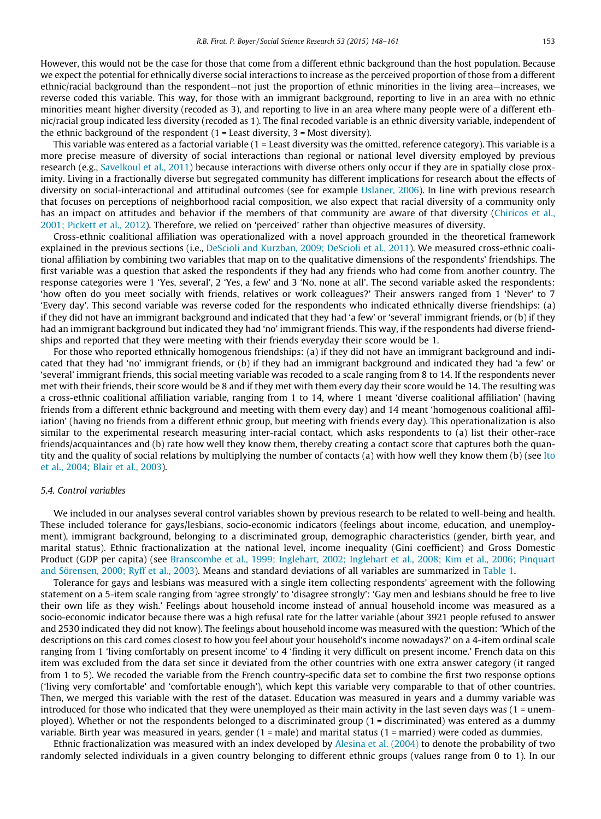However, this would not be the case for those that come from a different ethnic background than the host population. Because we expect the potential for ethnically diverse social interactions to increase as the perceived proportion of those from a different ethnic/racial background than the respondent—not just the proportion of ethnic minorities in the living area—increases, we reverse coded this variable. This way, for those with an immigrant background, reporting to live in an area with no ethnic minorities meant higher diversity (recoded as 3), and reporting to live in an area where many people were of a different ethnic/racial group indicated less diversity (recoded as 1). The final recoded variable is an ethnic diversity variable, independent of the ethnic background of the respondent  $(1 =$  Least diversity,  $3 =$  Most diversity).

This variable was entered as a factorial variable (1 = Least diversity was the omitted, reference category). This variable is a more precise measure of diversity of social interactions than regional or national level diversity employed by previous research (e.g., [Savelkoul et al., 2011\)](#page-12-0) because interactions with diverse others only occur if they are in spatially close proximity. Living in a fractionally diverse but segregated community has different implications for research about the effects of diversity on social-interactional and attitudinal outcomes (see for example [Uslaner, 2006\)](#page-12-0). In line with previous research that focuses on perceptions of neighborhood racial composition, we also expect that racial diversity of a community only has an impact on attitudes and behavior if the members of that community are aware of that diversity [\(Chiricos et al.,](#page-10-0) [2001; Pickett et al., 2012\)](#page-10-0). Therefore, we relied on 'perceived' rather than objective measures of diversity.

Cross-ethnic coalitional affiliation was operationalized with a novel approach grounded in the theoretical framework explained in the previous sections (i.e., [DeScioli and Kurzban, 2009; DeScioli et al., 2011](#page-10-0)). We measured cross-ethnic coalitional affiliation by combining two variables that map on to the qualitative dimensions of the respondents' friendships. The first variable was a question that asked the respondents if they had any friends who had come from another country. The response categories were 1 'Yes, several', 2 'Yes, a few' and 3 'No, none at all'. The second variable asked the respondents: 'how often do you meet socially with friends, relatives or work colleagues?' Their answers ranged from 1 'Never' to 7 'Every day'. This second variable was reverse coded for the respondents who indicated ethnically diverse friendships: (a) if they did not have an immigrant background and indicated that they had 'a few' or 'several' immigrant friends, or (b) if they had an immigrant background but indicated they had 'no' immigrant friends. This way, if the respondents had diverse friendships and reported that they were meeting with their friends everyday their score would be 1.

For those who reported ethnically homogenous friendships: (a) if they did not have an immigrant background and indicated that they had 'no' immigrant friends, or (b) if they had an immigrant background and indicated they had 'a few' or 'several' immigrant friends, this social meeting variable was recoded to a scale ranging from 8 to 14. If the respondents never met with their friends, their score would be 8 and if they met with them every day their score would be 14. The resulting was a cross-ethnic coalitional affiliation variable, ranging from 1 to 14, where 1 meant 'diverse coalitional affiliation' (having friends from a different ethnic background and meeting with them every day) and 14 meant 'homogenous coalitional affiliation' (having no friends from a different ethnic group, but meeting with friends every day). This operationalization is also similar to the experimental research measuring inter-racial contact, which asks respondents to (a) list their other-race friends/acquaintances and (b) rate how well they know them, thereby creating a contact score that captures both the quantity and the quality of social relations by multiplying the number of contacts (a) with how well they know them (b) (see [Ito](#page-11-0) [et al., 2004; Blair et al., 2003\)](#page-11-0).

### 5.4. Control variables

We included in our analyses several control variables shown by previous research to be related to well-being and health. These included tolerance for gays/lesbians, socio-economic indicators (feelings about income, education, and unemployment), immigrant background, belonging to a discriminated group, demographic characteristics (gender, birth year, and marital status). Ethnic fractionalization at the national level, income inequality (Gini coefficient) and Gross Domestic Product (GDP per capita) (see [Branscombe et al., 1999; Inglehart, 2002; Inglehart et al., 2008; Kim et al., 2006; Pinquart](#page-10-0) [and Sörensen, 2000; Ryff et al., 2003](#page-10-0)). Means and standard deviations of all variables are summarized in [Table 1.](#page-6-0)

Tolerance for gays and lesbians was measured with a single item collecting respondents' agreement with the following statement on a 5-item scale ranging from 'agree strongly' to 'disagree strongly': 'Gay men and lesbians should be free to live their own life as they wish.' Feelings about household income instead of annual household income was measured as a socio-economic indicator because there was a high refusal rate for the latter variable (about 3921 people refused to answer and 2530 indicated they did not know). The feelings about household income was measured with the question: 'Which of the descriptions on this card comes closest to how you feel about your household's income nowadays?' on a 4-item ordinal scale ranging from 1 'living comfortably on present income' to 4 'finding it very difficult on present income.' French data on this item was excluded from the data set since it deviated from the other countries with one extra answer category (it ranged from 1 to 5). We recoded the variable from the French country-specific data set to combine the first two response options ('living very comfortable' and 'comfortable enough'), which kept this variable very comparable to that of other countries. Then, we merged this variable with the rest of the dataset. Education was measured in years and a dummy variable was introduced for those who indicated that they were unemployed as their main activity in the last seven days was  $(1 =$ unemployed). Whether or not the respondents belonged to a discriminated group (1 = discriminated) was entered as a dummy variable. Birth year was measured in years, gender  $(1 = male)$  and marital status  $(1 = married)$  were coded as dummies.

Ethnic fractionalization was measured with an index developed by [Alesina et al. \(2004\)](#page-10-0) to denote the probability of two randomly selected individuals in a given country belonging to different ethnic groups (values range from 0 to 1). In our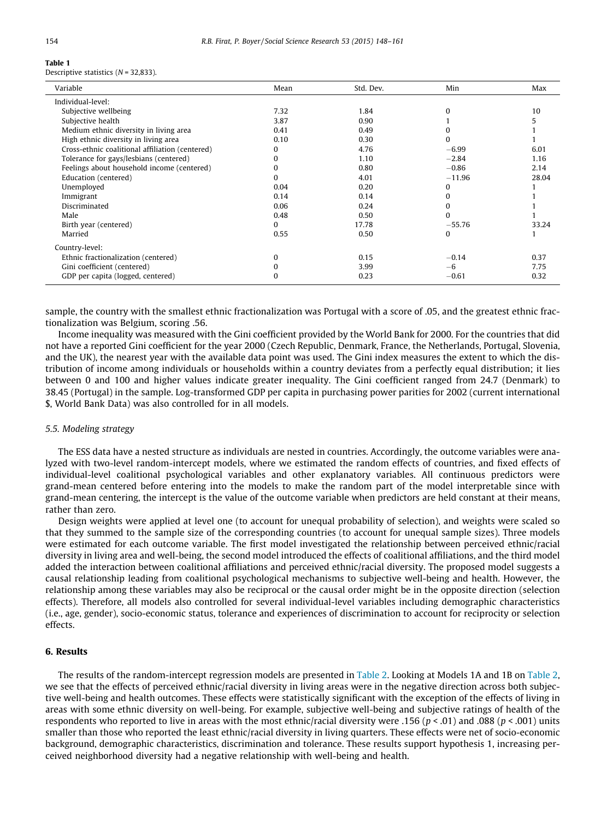#### <span id="page-6-0"></span>Table 1

Descriptive statistics ( $N = 32,833$ ).

| Variable                                        | Mean     | Std. Dev. | Min      | Max   |
|-------------------------------------------------|----------|-----------|----------|-------|
| Individual-level:                               |          |           |          |       |
| Subjective wellbeing                            | 7.32     | 1.84      | O        | 10    |
| Subjective health                               | 3.87     | 0.90      |          |       |
| Medium ethnic diversity in living area          | 0.41     | 0.49      |          |       |
| High ethnic diversity in living area            | 0.10     | 0.30      | $\Omega$ |       |
| Cross-ethnic coalitional affiliation (centered) | 0        | 4.76      | $-6.99$  | 6.01  |
| Tolerance for gays/lesbians (centered)          |          | 1.10      | $-2.84$  | 1.16  |
| Feelings about household income (centered)      |          | 0.80      | $-0.86$  | 2.14  |
| Education (centered)                            | O        | 4.01      | $-11.96$ | 28.04 |
| Unemployed                                      | 0.04     | 0.20      | $\Omega$ |       |
| Immigrant                                       | 0.14     | 0.14      | 0        |       |
| Discriminated                                   | 0.06     | 0.24      |          |       |
| Male                                            | 0.48     | 0.50      |          |       |
| Birth year (centered)                           | $\Omega$ | 17.78     | $-55.76$ | 33.24 |
| Married                                         | 0.55     | 0.50      | 0        |       |
| Country-level:                                  |          |           |          |       |
| Ethnic fractionalization (centered)             | O        | 0.15      | $-0.14$  | 0.37  |
| Gini coefficient (centered)                     |          | 3.99      | $-6$     | 7.75  |
| GDP per capita (logged, centered)               |          | 0.23      | $-0.61$  | 0.32  |

sample, the country with the smallest ethnic fractionalization was Portugal with a score of .05, and the greatest ethnic fractionalization was Belgium, scoring .56.

Income inequality was measured with the Gini coefficient provided by the World Bank for 2000. For the countries that did not have a reported Gini coefficient for the year 2000 (Czech Republic, Denmark, France, the Netherlands, Portugal, Slovenia, and the UK), the nearest year with the available data point was used. The Gini index measures the extent to which the distribution of income among individuals or households within a country deviates from a perfectly equal distribution; it lies between 0 and 100 and higher values indicate greater inequality. The Gini coefficient ranged from 24.7 (Denmark) to 38.45 (Portugal) in the sample. Log-transformed GDP per capita in purchasing power parities for 2002 (current international \$, World Bank Data) was also controlled for in all models.

#### 5.5. Modeling strategy

The ESS data have a nested structure as individuals are nested in countries. Accordingly, the outcome variables were analyzed with two-level random-intercept models, where we estimated the random effects of countries, and fixed effects of individual-level coalitional psychological variables and other explanatory variables. All continuous predictors were grand-mean centered before entering into the models to make the random part of the model interpretable since with grand-mean centering, the intercept is the value of the outcome variable when predictors are held constant at their means, rather than zero.

Design weights were applied at level one (to account for unequal probability of selection), and weights were scaled so that they summed to the sample size of the corresponding countries (to account for unequal sample sizes). Three models were estimated for each outcome variable. The first model investigated the relationship between perceived ethnic/racial diversity in living area and well-being, the second model introduced the effects of coalitional affiliations, and the third model added the interaction between coalitional affiliations and perceived ethnic/racial diversity. The proposed model suggests a causal relationship leading from coalitional psychological mechanisms to subjective well-being and health. However, the relationship among these variables may also be reciprocal or the causal order might be in the opposite direction (selection effects). Therefore, all models also controlled for several individual-level variables including demographic characteristics (i.e., age, gender), socio-economic status, tolerance and experiences of discrimination to account for reciprocity or selection effects.

#### 6. Results

The results of the random-intercept regression models are presented in [Table 2.](#page-7-0) Looking at Models 1A and 1B on [Table 2,](#page-7-0) we see that the effects of perceived ethnic/racial diversity in living areas were in the negative direction across both subjective well-being and health outcomes. These effects were statistically significant with the exception of the effects of living in areas with some ethnic diversity on well-being. For example, subjective well-being and subjective ratings of health of the respondents who reported to live in areas with the most ethnic/racial diversity were .156 ( $p < .01$ ) and .088 ( $p < .001$ ) units smaller than those who reported the least ethnic/racial diversity in living quarters. These effects were net of socio-economic background, demographic characteristics, discrimination and tolerance. These results support hypothesis 1, increasing perceived neighborhood diversity had a negative relationship with well-being and health.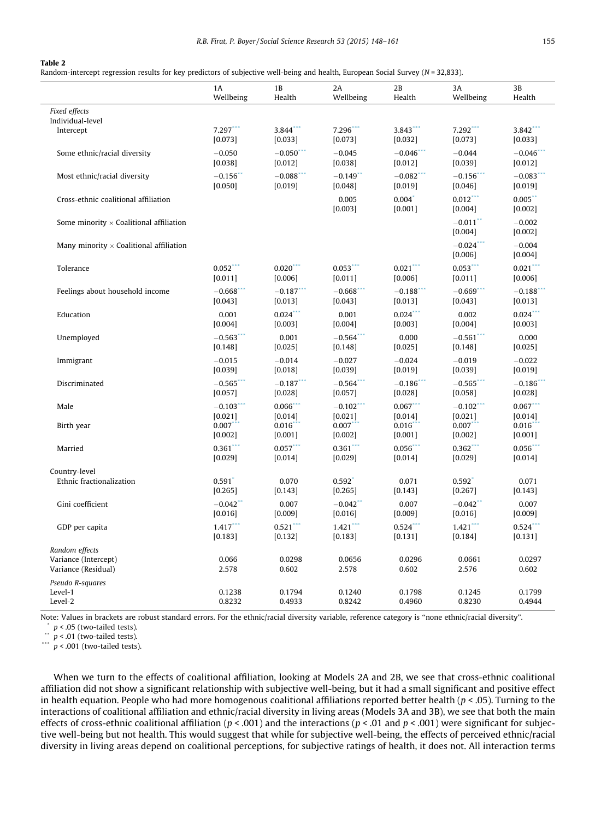<span id="page-7-0"></span>Random-intercept regression results for key predictors of subjective well-being and health, European Social Survey (N = 32,833).

|                                                | 1A                     | 1B           | 2A               | 2B                     | 3A                      | 3B                    |
|------------------------------------------------|------------------------|--------------|------------------|------------------------|-------------------------|-----------------------|
|                                                | Wellbeing              | Health       | Wellbeing        | Health                 | Wellbeing               | Health                |
| Fixed effects<br>Individual-level              |                        |              |                  |                        |                         |                       |
| Intercept                                      | $7.297$ ***            | 3.844***     | $7.296***$       | 3.843                  | $7.292$ ***             | 3.842***              |
|                                                | [0.073]                | [0.033]      | [0.073]          | [0.032]                | [0.073]                 | [0.033]               |
| Some ethnic/racial diversity                   | $-0.050$               | $-0.050$ *** | $-0.045$         | $-0.046$ ***           | $-0.044$                | $-0.046$ ***          |
|                                                | [0.038]                | [0.012]      | [0.038]          | [0.012]                | [0.039]                 | [0.012]               |
| Most ethnic/racial diversity                   | $-0.156$ **            | $-0.088$     | $-0.149$ **      | $-0.082$ ***           | $-0.156$ ***            | $-0.083$ ***          |
|                                                | [0.050]                | [0.019]      | [0.048]          | [0.019]                | [0.046]                 | [0.019]               |
| Cross-ethnic coalitional affiliation           |                        |              | 0.005<br>[0.003] | $0.004*$<br>[0.001]    | $0.012***$<br>[0.004]   | $0.005$ **<br>[0.002] |
| Some minority $\times$ Coalitional affiliation |                        |              |                  |                        | $-0.011$ **<br>[0.004]  | $-0.002$<br>[0.002]   |
| Many minority $\times$ Coalitional affiliation |                        |              |                  |                        | $-0.024$ ***<br>[0.006] | $-0.004$<br>[0.004]   |
| Tolerance                                      | $0.052$ ***            | $0.020$ $11$ | $0.053$ ***      | $0.021$ $\ddots$       | $0.053***$              | $0.021$ ***           |
|                                                | [0.011]                | [0.006]      | [0.011]          | [0.006]                | [0.011]                 | [0.006]               |
| Feelings about household income                | $-0.668$               | $-0.187$ *** | $-0.668$         | $-0.188$ <sup>**</sup> | $-0.669$ <sup>**</sup>  | $-0.188$ <sup>*</sup> |
|                                                | [0.043]                | [0.013]      | [0.043]          | [0.013]                | [0.043]                 | [0.013]               |
| Education                                      | 0.001                  | $0.024***$   | 0.001            | $0.024$ ***            | 0.002                   | $0.024$ ***           |
|                                                | [0.004]                | [0.003]      | [0.004]          | [0.003]                | [0.004]                 | [0.003]               |
| Unemployed                                     | $-0.563$ ***           | 0.001        | $-0.564$ ***     | 0.000                  | $-0.561$ ***            | 0.000                 |
|                                                | [0.148]                | [0.025]      | [0.148]          | $[0.025]$              | [0.148]                 | [0.025]               |
| Immigrant                                      | $-0.015$               | $-0.014$     | $-0.027$         | $-0.024$               | $-0.019$                | $-0.022$              |
|                                                | [0.039]                | [0.018]      | [0.039]          | [0.019]                | [0.039]                 | [0.019]               |
| Discriminated                                  | $-0.565$ ***           | $-0.187$ *** | $-0.564$ ***     | $-0.186$               | $-0.565$ ***            | $-0.186$              |
|                                                | [0.057]                | [0.028]      | [0.057]          | $[0.028]$              | [0.058]                 | [0.028]               |
| Male                                           | $-0.103$ ***           | $0.066***$   | $-0.102$ ***     | $0.067***$             | $-0.102$ ***            | $0.067***$            |
|                                                | [0.021]                | [0.014]      | [0.021]          | [0.014]                | [0.021]                 | [0.014]               |
| Birth year                                     | 0.007                  | 0.016        | 0.007            | 0.016                  | 0.007                   | 0.016                 |
|                                                | [0.002]                | [0.001]      | [0.002]          | [0.001]                | [0.002]                 | [0.001]               |
| Married                                        | 0.361                  | $0.057***$   | $0.361$ ***      | $0.056$ ***            | $0.362$ ***             | $0.056$ ***           |
|                                                | [0.029]                | [0.014]      | $[0.029]$        | [0.014]                | [0.029]                 | [0.014]               |
| Country-level                                  |                        |              |                  |                        |                         |                       |
| Ethnic fractionalization                       | $0.591$ <sup>*</sup>   | 0.070        | $0.592*$         | 0.071                  | $0.592*$                | 0.071                 |
|                                                | [0.265]                | [0.143]      | [0.265]          | [0.143]                | [0.267]                 | [0.143]               |
| Gini coefficient                               | $-0.042$ <sup>**</sup> | 0.007        | $-0.042$         | 0.007                  | $-0.042$ <sup>**</sup>  | 0.007                 |
|                                                | [0.016]                | [0.009]      | [0.016]          | [0.009]                | [0.016]                 | [0.009]               |
| GDP per capita                                 | 1.417                  | $0.521***$   | $1.421$ ***      | $0.524$ ***            | $1.421$ ***             | $0.524$ ***           |
|                                                | [0.183]                | [0.132]      | [0.183]          | [0.131]                | [0.184]                 | [0.131]               |
| Random effects                                 |                        |              |                  |                        |                         |                       |
| Variance (Intercept)                           | 0.066                  | 0.0298       | 0.0656           | 0.0296                 | 0.0661                  | 0.0297                |
| Variance (Residual)                            | 2.578                  | 0.602        | 2.578            | 0.602                  | 2.576                   | 0.602                 |
| Pseudo R-squares                               |                        |              |                  |                        |                         |                       |
| Level-1                                        | 0.1238                 | 0.1794       | 0.1240           | 0.1798                 | 0.1245                  | 0.1799                |
| Level-2                                        | 0.8232                 | 0.4933       | 0.8242           | 0.4960                 | 0.8230                  | 0.4944                |

Note: Values in brackets are robust standard errors. For the ethnic/racial diversity variable, reference category is ''none ethnic/racial diversity''.  $p < .05$  (two-tailed tests).

\*\*  $p < .01$  (two-tailed tests).

 $p < .001$  (two-tailed tests).

When we turn to the effects of coalitional affiliation, looking at Models 2A and 2B, we see that cross-ethnic coalitional affiliation did not show a significant relationship with subjective well-being, but it had a small significant and positive effect in health equation. People who had more homogenous coalitional affiliations reported better health ( $p < .05$ ). Turning to the interactions of coalitional affiliation and ethnic/racial diversity in living areas (Models 3A and 3B), we see that both the main effects of cross-ethnic coalitional affiliation ( $p < .001$ ) and the interactions ( $p < .01$  and  $p < .001$ ) were significant for subjective well-being but not health. This would suggest that while for subjective well-being, the effects of perceived ethnic/racial diversity in living areas depend on coalitional perceptions, for subjective ratings of health, it does not. All interaction terms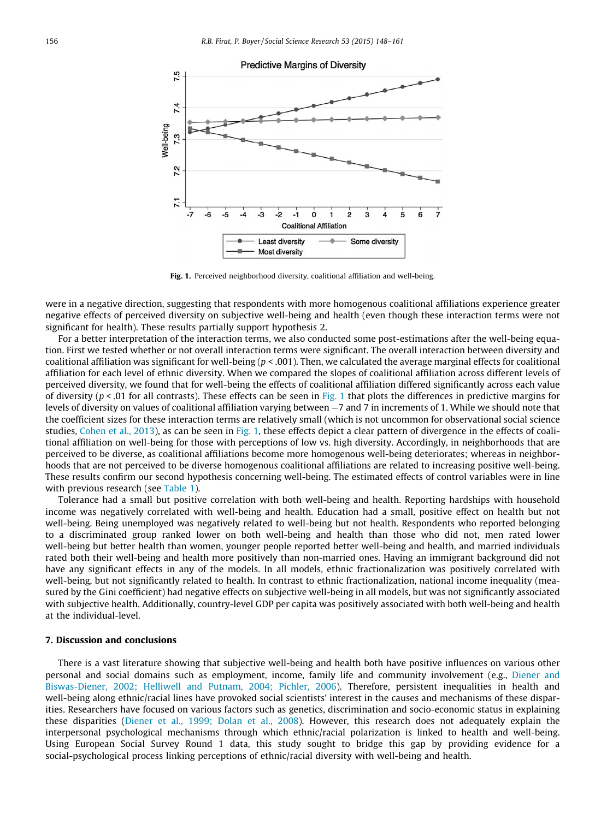

Fig. 1. Perceived neighborhood diversity, coalitional affiliation and well-being.

were in a negative direction, suggesting that respondents with more homogenous coalitional affiliations experience greater negative effects of perceived diversity on subjective well-being and health (even though these interaction terms were not significant for health). These results partially support hypothesis 2.

For a better interpretation of the interaction terms, we also conducted some post-estimations after the well-being equation. First we tested whether or not overall interaction terms were significant. The overall interaction between diversity and coalitional affiliation was significant for well-being ( $p < .001$ ). Then, we calculated the average marginal effects for coalitional affiliation for each level of ethnic diversity. When we compared the slopes of coalitional affiliation across different levels of perceived diversity, we found that for well-being the effects of coalitional affiliation differed significantly across each value of diversity ( $p < .01$  for all contrasts). These effects can be seen in Fig. 1 that plots the differences in predictive margins for levels of diversity on values of coalitional affiliation varying between -7 and 7 in increments of 1. While we should note that the coefficient sizes for these interaction terms are relatively small (which is not uncommon for observational social science studies, [Cohen et al., 2013](#page-10-0)), as can be seen in Fig. 1, these effects depict a clear pattern of divergence in the effects of coalitional affiliation on well-being for those with perceptions of low vs. high diversity. Accordingly, in neighborhoods that are perceived to be diverse, as coalitional affiliations become more homogenous well-being deteriorates; whereas in neighborhoods that are not perceived to be diverse homogenous coalitional affiliations are related to increasing positive well-being. These results confirm our second hypothesis concerning well-being. The estimated effects of control variables were in line with previous research (see [Table 1\)](#page-6-0).

Tolerance had a small but positive correlation with both well-being and health. Reporting hardships with household income was negatively correlated with well-being and health. Education had a small, positive effect on health but not well-being. Being unemployed was negatively related to well-being but not health. Respondents who reported belonging to a discriminated group ranked lower on both well-being and health than those who did not, men rated lower well-being but better health than women, younger people reported better well-being and health, and married individuals rated both their well-being and health more positively than non-married ones. Having an immigrant background did not have any significant effects in any of the models. In all models, ethnic fractionalization was positively correlated with well-being, but not significantly related to health. In contrast to ethnic fractionalization, national income inequality (measured by the Gini coefficient) had negative effects on subjective well-being in all models, but was not significantly associated with subjective health. Additionally, country-level GDP per capita was positively associated with both well-being and health at the individual-level.

#### 7. Discussion and conclusions

There is a vast literature showing that subjective well-being and health both have positive influences on various other personal and social domains such as employment, income, family life and community involvement (e.g., [Diener and](#page-11-0) [Biswas-Diener, 2002; Helliwell and Putnam, 2004; Pichler, 2006\)](#page-11-0). Therefore, persistent inequalities in health and well-being along ethnic/racial lines have provoked social scientists' interest in the causes and mechanisms of these disparities. Researchers have focused on various factors such as genetics, discrimination and socio-economic status in explaining these disparities [\(Diener et al., 1999; Dolan et al., 2008\)](#page-11-0). However, this research does not adequately explain the interpersonal psychological mechanisms through which ethnic/racial polarization is linked to health and well-being. Using European Social Survey Round 1 data, this study sought to bridge this gap by providing evidence for a social-psychological process linking perceptions of ethnic/racial diversity with well-being and health.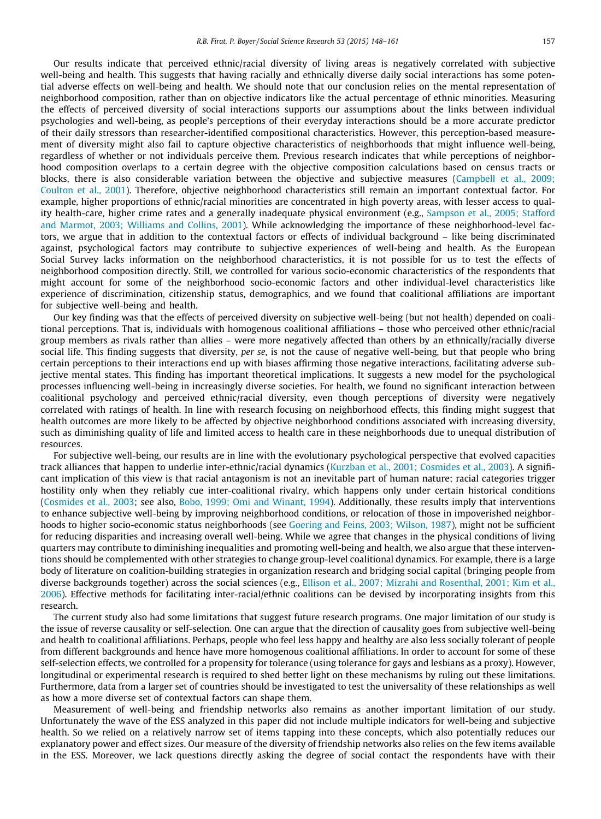Our results indicate that perceived ethnic/racial diversity of living areas is negatively correlated with subjective well-being and health. This suggests that having racially and ethnically diverse daily social interactions has some potential adverse effects on well-being and health. We should note that our conclusion relies on the mental representation of neighborhood composition, rather than on objective indicators like the actual percentage of ethnic minorities. Measuring the effects of perceived diversity of social interactions supports our assumptions about the links between individual psychologies and well-being, as people's perceptions of their everyday interactions should be a more accurate predictor of their daily stressors than researcher-identified compositional characteristics. However, this perception-based measurement of diversity might also fail to capture objective characteristics of neighborhoods that might influence well-being, regardless of whether or not individuals perceive them. Previous research indicates that while perceptions of neighborhood composition overlaps to a certain degree with the objective composition calculations based on census tracts or blocks, there is also considerable variation between the objective and subjective measures [\(Campbell et al., 2009;](#page-10-0) [Coulton et al., 2001](#page-10-0)). Therefore, objective neighborhood characteristics still remain an important contextual factor. For example, higher proportions of ethnic/racial minorities are concentrated in high poverty areas, with lesser access to quality health-care, higher crime rates and a generally inadequate physical environment (e.g., [Sampson et al., 2005; Stafford](#page-12-0) [and Marmot, 2003; Williams and Collins, 2001\)](#page-12-0). While acknowledging the importance of these neighborhood-level factors, we argue that in addition to the contextual factors or effects of individual background – like being discriminated against, psychological factors may contribute to subjective experiences of well-being and health. As the European Social Survey lacks information on the neighborhood characteristics, it is not possible for us to test the effects of neighborhood composition directly. Still, we controlled for various socio-economic characteristics of the respondents that might account for some of the neighborhood socio-economic factors and other individual-level characteristics like experience of discrimination, citizenship status, demographics, and we found that coalitional affiliations are important for subjective well-being and health.

Our key finding was that the effects of perceived diversity on subjective well-being (but not health) depended on coalitional perceptions. That is, individuals with homogenous coalitional affiliations – those who perceived other ethnic/racial group members as rivals rather than allies – were more negatively affected than others by an ethnically/racially diverse social life. This finding suggests that diversity, per se, is not the cause of negative well-being, but that people who bring certain perceptions to their interactions end up with biases affirming those negative interactions, facilitating adverse subjective mental states. This finding has important theoretical implications. It suggests a new model for the psychological processes influencing well-being in increasingly diverse societies. For health, we found no significant interaction between coalitional psychology and perceived ethnic/racial diversity, even though perceptions of diversity were negatively correlated with ratings of health. In line with research focusing on neighborhood effects, this finding might suggest that health outcomes are more likely to be affected by objective neighborhood conditions associated with increasing diversity, such as diminishing quality of life and limited access to health care in these neighborhoods due to unequal distribution of resources.

For subjective well-being, our results are in line with the evolutionary psychological perspective that evolved capacities track alliances that happen to underlie inter-ethnic/racial dynamics [\(Kurzban et al., 2001; Cosmides et al., 2003](#page-11-0)). A significant implication of this view is that racial antagonism is not an inevitable part of human nature; racial categories trigger hostility only when they reliably cue inter-coalitional rivalry, which happens only under certain historical conditions ([Cosmides et al., 2003;](#page-10-0) see also, [Bobo, 1999; Omi and Winant, 1994](#page-10-0)). Additionally, these results imply that interventions to enhance subjective well-being by improving neighborhood conditions, or relocation of those in impoverished neighborhoods to higher socio-economic status neighborhoods (see [Goering and Feins, 2003; Wilson, 1987](#page-11-0)), might not be sufficient for reducing disparities and increasing overall well-being. While we agree that changes in the physical conditions of living quarters may contribute to diminishing inequalities and promoting well-being and health, we also argue that these interventions should be complemented with other strategies to change group-level coalitional dynamics. For example, there is a large body of literature on coalition-building strategies in organization research and bridging social capital (bringing people from diverse backgrounds together) across the social sciences (e.g., [Ellison et al., 2007; Mizrahi and Rosenthal, 2001; Kim et al.,](#page-11-0) [2006\)](#page-11-0). Effective methods for facilitating inter-racial/ethnic coalitions can be devised by incorporating insights from this research.

The current study also had some limitations that suggest future research programs. One major limitation of our study is the issue of reverse causality or self-selection. One can argue that the direction of causality goes from subjective well-being and health to coalitional affiliations. Perhaps, people who feel less happy and healthy are also less socially tolerant of people from different backgrounds and hence have more homogenous coalitional affiliations. In order to account for some of these self-selection effects, we controlled for a propensity for tolerance (using tolerance for gays and lesbians as a proxy). However, longitudinal or experimental research is required to shed better light on these mechanisms by ruling out these limitations. Furthermore, data from a larger set of countries should be investigated to test the universality of these relationships as well as how a more diverse set of contextual factors can shape them.

Measurement of well-being and friendship networks also remains as another important limitation of our study. Unfortunately the wave of the ESS analyzed in this paper did not include multiple indicators for well-being and subjective health. So we relied on a relatively narrow set of items tapping into these concepts, which also potentially reduces our explanatory power and effect sizes. Our measure of the diversity of friendship networks also relies on the few items available in the ESS. Moreover, we lack questions directly asking the degree of social contact the respondents have with their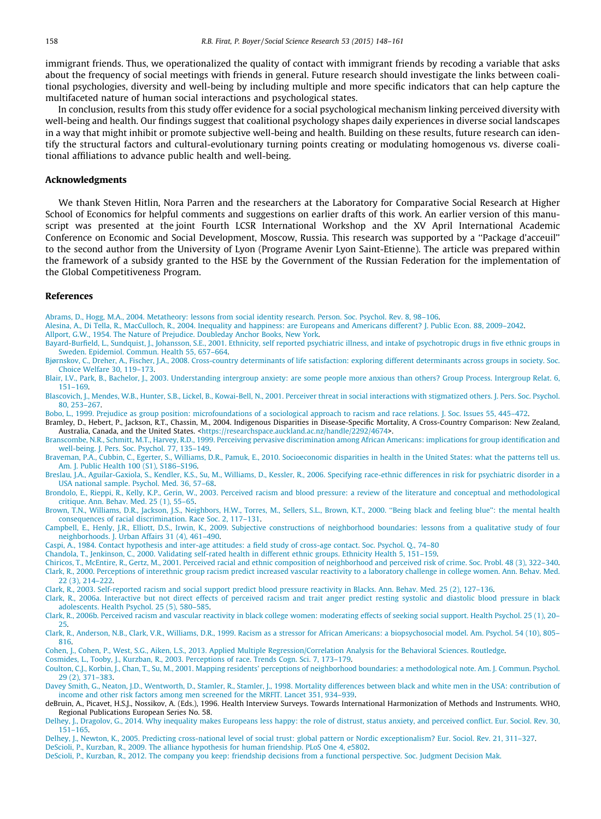<span id="page-10-0"></span>immigrant friends. Thus, we operationalized the quality of contact with immigrant friends by recoding a variable that asks about the frequency of social meetings with friends in general. Future research should investigate the links between coalitional psychologies, diversity and well-being by including multiple and more specific indicators that can help capture the multifaceted nature of human social interactions and psychological states.

In conclusion, results from this study offer evidence for a social psychological mechanism linking perceived diversity with well-being and health. Our findings suggest that coalitional psychology shapes daily experiences in diverse social landscapes in a way that might inhibit or promote subjective well-being and health. Building on these results, future research can identify the structural factors and cultural-evolutionary turning points creating or modulating homogenous vs. diverse coalitional affiliations to advance public health and well-being.

#### Acknowledgments

We thank Steven Hitlin, Nora Parren and the researchers at the Laboratory for Comparative Social Research at Higher School of Economics for helpful comments and suggestions on earlier drafts of this work. An earlier version of this manuscript was presented at the joint Fourth LCSR International Workshop and the XV April International Academic Conference on Economic and Social Development, Moscow, Russia. This research was supported by a ''Package d'acceuil'' to the second author from the University of Lyon (Programe Avenir Lyon Saint-Etienne). The article was prepared within the framework of a subsidy granted to the HSE by the Government of the Russian Federation for the implementation of the Global Competitiveness Program.

#### References

[Abrams, D., Hogg, M.A., 2004. Metatheory: lessons from social identity research. Person. Soc. Psychol. Rev. 8, 98–106](http://refhub.elsevier.com/S0049-089X(15)00096-4/h0005).

[Alesina, A., Di Tella, R., MacCulloch, R., 2004. Inequality and happiness: are Europeans and Americans different? J. Public Econ. 88, 2009–2042.](http://refhub.elsevier.com/S0049-089X(15)00096-4/h0010)

[Allport, G.W., 1954. The Nature of Prejudice. Doubleday Anchor Books, New York.](http://refhub.elsevier.com/S0049-089X(15)00096-4/h0015)

[Bayard-Burfield, L., Sundquist, J., Johansson, S.E., 2001. Ethnicity, self reported psychiatric illness, and intake of psychotropic drugs in five ethnic groups in](http://refhub.elsevier.com/S0049-089X(15)00096-4/h0020) [Sweden. Epidemiol. Commun. Health 55, 657–664](http://refhub.elsevier.com/S0049-089X(15)00096-4/h0020).

[Bjørnskov, C., Dreher, A., Fischer, J.A., 2008. Cross-country determinants of life satisfaction: exploring different determinants across groups](http://refhub.elsevier.com/S0049-089X(15)00096-4/h0025) in society. Soc. [Choice Welfare 30, 119–173](http://refhub.elsevier.com/S0049-089X(15)00096-4/h0025).

[Blair, I.V., Park, B., Bachelor, J., 2003. Understanding intergroup anxiety: are some people more anxious than others? Group Process. Intergroup Relat. 6,](http://refhub.elsevier.com/S0049-089X(15)00096-4/h0030) [151–169.](http://refhub.elsevier.com/S0049-089X(15)00096-4/h0030)

[Blascovich, J., Mendes, W.B., Hunter, S.B., Lickel, B., Kowai-Bell, N., 2001. Perceiver threat in social interactions with stigmatized others. J. Pers. Soc. Psychol.](http://refhub.elsevier.com/S0049-089X(15)00096-4/h0035) [80, 253–267](http://refhub.elsevier.com/S0049-089X(15)00096-4/h0035).

[Bobo, L., 1999. Prejudice as group position: microfoundations of a sociological approach to racism and race relations. J. Soc. Issues 55, 445–472](http://refhub.elsevier.com/S0049-089X(15)00096-4/h0040).

Bramley, D., Hebert, P., Jackson, R.T., Chassin, M., 2004. Indigenous Disparities in Disease-Specific Mortality, A Cross-Country Comparison: New Zealand, Australia, Canada, and the United States. <<https://researchspace.auckland.ac.nz/handle/2292/4674>>.

[Branscombe, N.R., Schmitt, M.T., Harvey, R.D., 1999. Perceiving pervasive discrimination among African Americans: implications for group identification and](http://refhub.elsevier.com/S0049-089X(15)00096-4/h0050) [well-being. J. Pers. Soc. Psychol. 77, 135–149.](http://refhub.elsevier.com/S0049-089X(15)00096-4/h0050)

[Braveman, P.A., Cubbin, C., Egerter, S., Williams, D.R., Pamuk, E., 2010. Socioeconomic disparities in health in the United States: what the patterns tell us.](http://refhub.elsevier.com/S0049-089X(15)00096-4/h0055) [Am. J. Public Health 100 \(S1\), S186–S196](http://refhub.elsevier.com/S0049-089X(15)00096-4/h0055).

[Breslau, J.A., Aguilar-Gaxiola, S., Kendler, K.S., Su, M., Williams, D., Kessler, R., 2006. Specifying race-ethnic differences in risk for psychiatric disorder in a](http://refhub.elsevier.com/S0049-089X(15)00096-4/h9000) [USA national sample. Psychol. Med. 36, 57–68](http://refhub.elsevier.com/S0049-089X(15)00096-4/h9000).

[Brondolo, E., Rieppi, R., Kelly, K.P., Gerin, W., 2003. Perceived racism and blood pressure: a review of the literature and conceptual and methodological](http://refhub.elsevier.com/S0049-089X(15)00096-4/h9005) [critique. Ann. Behav. Med. 25 \(1\), 55–65](http://refhub.elsevier.com/S0049-089X(15)00096-4/h9005).

[Brown, T.N., Williams, D.R., Jackson, J.S., Neighbors, H.W., Torres, M., Sellers, S.L., Brown, K.T., 2000. ''Being black and feeling blue'': the mental health](http://refhub.elsevier.com/S0049-089X(15)00096-4/h0060) [consequences of racial discrimination. Race Soc. 2, 117–131.](http://refhub.elsevier.com/S0049-089X(15)00096-4/h0060)

[Campbell, E., Henly, J.R., Elliott, D.S., Irwin, K., 2009. Subjective constructions of neighborhood boundaries: lessons from a qualitative study of four](http://refhub.elsevier.com/S0049-089X(15)00096-4/h0065) [neighborhoods. J. Urban Affairs 31 \(4\), 461–490.](http://refhub.elsevier.com/S0049-089X(15)00096-4/h0065)

[Caspi, A., 1984. Contact hypothesis and inter-age attitudes: a field study of cross-age contact. Soc. Psychol. Q., 74–80](http://refhub.elsevier.com/S0049-089X(15)00096-4/h0070)

[Chandola, T., Jenkinson, C., 2000. Validating self-rated health in different ethnic groups. Ethnicity Health 5, 151–159.](http://refhub.elsevier.com/S0049-089X(15)00096-4/h0075)

[Chiricos, T., McEntire, R., Gertz, M., 2001. Perceived racial and ethnic composition of neighborhood and perceived risk of crime. Soc. Probl. 48 \(3\),](http://refhub.elsevier.com/S0049-089X(15)00096-4/h0080) 322–340. [Clark, R., 2000. Perceptions of interethnic group racism predict increased vascular reactivity to a laboratory challenge in college women. Ann. Behav. Med.](http://refhub.elsevier.com/S0049-089X(15)00096-4/h9010) [22 \(3\), 214–222.](http://refhub.elsevier.com/S0049-089X(15)00096-4/h9010)

[Clark, R., 2003. Self-reported racism and social support predict blood pressure reactivity in Blacks. Ann. Behav. Med. 25 \(2\), 127–136.](http://refhub.elsevier.com/S0049-089X(15)00096-4/h0085)

[Clark, R., 2006a. Interactive but not direct effects of perceived racism and trait anger predict resting systolic and diastolic blood pressure in black](http://refhub.elsevier.com/S0049-089X(15)00096-4/h9015) [adolescents. Health Psychol. 25 \(5\), 580–585.](http://refhub.elsevier.com/S0049-089X(15)00096-4/h9015)

[Clark, R., 2006b. Perceived racism and vascular reactivity in black college women: moderating effects of seeking social support. Health Psychol. 25](http://refhub.elsevier.com/S0049-089X(15)00096-4/h9020) (1), 20– [25.](http://refhub.elsevier.com/S0049-089X(15)00096-4/h9020)

[Clark, R., Anderson, N.B., Clark, V.R., Williams, D.R., 1999. Racism as a stressor for African Americans: a biopsychosocial model. Am. Psychol. 54 \(10\), 805–](http://refhub.elsevier.com/S0049-089X(15)00096-4/h9025) [816.](http://refhub.elsevier.com/S0049-089X(15)00096-4/h9025)

[Cohen, J., Cohen, P., West, S.G., Aiken, L.S., 2013. Applied Multiple Regression/Correlation Analysis for the Behavioral Sciences. Routledge](http://refhub.elsevier.com/S0049-089X(15)00096-4/h0090).

[Cosmides, L., Tooby, J., Kurzban, R., 2003. Perceptions of race. Trends Cogn. Sci. 7, 173–179.](http://refhub.elsevier.com/S0049-089X(15)00096-4/h0095)

[Coulton, C.J., Korbin, J., Chan, T., Su, M., 2001. Mapping residents' perceptions of neighborhood boundaries: a methodological note. Am. J. Commun.](http://refhub.elsevier.com/S0049-089X(15)00096-4/h0100) Psychol. [29 \(2\), 371–383.](http://refhub.elsevier.com/S0049-089X(15)00096-4/h0100)

[Davey Smith, G., Neaton, J.D., Wentworth, D., Stamler, R., Stamler, J., 1998. Mortality differences between black and white men in the USA: contribution of](http://refhub.elsevier.com/S0049-089X(15)00096-4/h0105) [income and other risk factors among men screened for the MRFIT. Lancet 351, 934–939](http://refhub.elsevier.com/S0049-089X(15)00096-4/h0105).

deBruin, A., Picavet, H.S.J., Nossikov, A. (Eds.), 1996. Health Interview Surveys. Towards International Harmonization of Methods and Instruments. WHO, Regional Publications European Series No. 58.

[Delhey, J., Dragolov, G., 2014. Why inequality makes Europeans less happy: the role of distrust, status anxiety, and perceived conflict. Eur. Sociol.](http://refhub.elsevier.com/S0049-089X(15)00096-4/h0115) Rev. 30, [151–165.](http://refhub.elsevier.com/S0049-089X(15)00096-4/h0115)

[Delhey, J., Newton, K., 2005. Predicting cross-national level of social trust: global pattern or Nordic exceptionalism? Eur. Sociol. Rev. 21, 311–327.](http://refhub.elsevier.com/S0049-089X(15)00096-4/h0120)

[DeScioli, P., Kurzban, R., 2009. The alliance hypothesis for human friendship. PLoS One 4, e5802](http://refhub.elsevier.com/S0049-089X(15)00096-4/h0125).

[DeScioli, P., Kurzban, R., 2012. The company you keep: friendship decisions from a functional perspective. Soc. Judgment Decision Mak.](http://refhub.elsevier.com/S0049-089X(15)00096-4/h0130)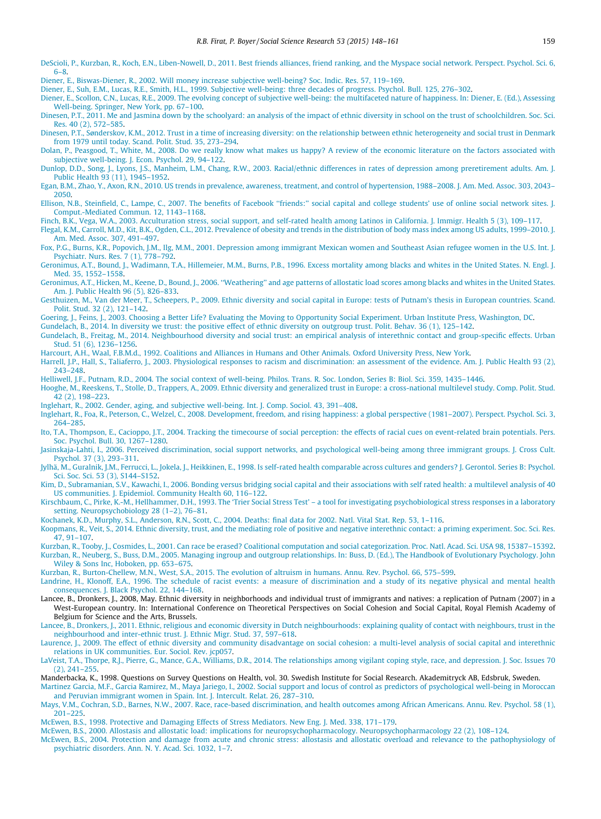<span id="page-11-0"></span>[DeScioli, P., Kurzban, R., Koch, E.N., Liben-Nowell, D., 2011. Best friends alliances, friend ranking, and the Myspace social network. Perspect. Psychol. Sci. 6,](http://refhub.elsevier.com/S0049-089X(15)00096-4/h0135) [6–8](http://refhub.elsevier.com/S0049-089X(15)00096-4/h0135).

[Diener, E., Biswas-Diener, R., 2002. Will money increase subjective well-being? Soc. Indic. Res. 57, 119–169.](http://refhub.elsevier.com/S0049-089X(15)00096-4/h0140)

[Diener, E., Suh, E.M., Lucas, R.E., Smith, H.L., 1999. Subjective well-being: three decades of progress. Psychol. Bull. 125, 276–302.](http://refhub.elsevier.com/S0049-089X(15)00096-4/h0145)

[Diener, E., Scollon, C.N., Lucas, R.E., 2009. The evolving concept of subjective well-being: the multifaceted nature of happiness. In: Diener, E. \(Ed.\), Assessing](http://refhub.elsevier.com/S0049-089X(15)00096-4/h0150) [Well-being. Springer, New York, pp. 67–100.](http://refhub.elsevier.com/S0049-089X(15)00096-4/h0150)

[Dinesen, P.T., 2011. Me and Jasmina down by the schoolyard: an analysis of the impact of ethnic diversity in school on the trust of schoolchildren. Soc.](http://refhub.elsevier.com/S0049-089X(15)00096-4/h0155) Sci. [Res. 40 \(2\), 572–585.](http://refhub.elsevier.com/S0049-089X(15)00096-4/h0155)

[Dinesen, P.T., Sønderskov, K.M., 2012. Trust in a time of increasing diversity: on the relationship between ethnic heterogeneity and social trust in](http://refhub.elsevier.com/S0049-089X(15)00096-4/h0160) Denmark [from 1979 until today. Scand. Polit. Stud. 35, 273–294](http://refhub.elsevier.com/S0049-089X(15)00096-4/h0160).

[Dolan, P., Peasgood, T., White, M., 2008. Do we really know what makes us happy? A review of the economic literature on the factors associated with](http://refhub.elsevier.com/S0049-089X(15)00096-4/h0165) [subjective well-being. J. Econ. Psychol. 29, 94–122](http://refhub.elsevier.com/S0049-089X(15)00096-4/h0165).

[Dunlop, D.D., Song, J., Lyons, J.S., Manheim, L.M., Chang, R.W., 2003. Racial/ethnic differences in rates of depression among preretirement adults. Am. J.](http://refhub.elsevier.com/S0049-089X(15)00096-4/h9030) [Public Health 93 \(11\), 1945–1952.](http://refhub.elsevier.com/S0049-089X(15)00096-4/h9030)

[Egan, B.M., Zhao, Y., Axon, R.N., 2010. US trends in prevalence, awareness, treatment, and control of hypertension, 1988–2008. J. Am. Med. Assoc. 303, 2043–](http://refhub.elsevier.com/S0049-089X(15)00096-4/h0170) [2050.](http://refhub.elsevier.com/S0049-089X(15)00096-4/h0170)

Ellison, N.B., Steinfield, C., Lampe, C., 2007. The benefits of Facebook "friends:" social capital and college students' use of online social network sites. J. [Comput.-Mediated Commun. 12, 1143–1168.](http://refhub.elsevier.com/S0049-089X(15)00096-4/h0175)

[Finch, B.K., Vega, W.A., 2003. Acculturation stress, social support, and self-rated health among Latinos in California. J. Immigr. Health 5 \(3\), 109–117](http://refhub.elsevier.com/S0049-089X(15)00096-4/h0180).

[Flegal, K.M., Carroll, M.D., Kit, B.K., Ogden, C.L., 2012. Prevalence of obesity and trends in the distribution of body mass index among US adults, 1999–2010. J.](http://refhub.elsevier.com/S0049-089X(15)00096-4/h0185) [Am. Med. Assoc. 307, 491–497](http://refhub.elsevier.com/S0049-089X(15)00096-4/h0185).

[Fox, P.G., Burns, K.R., Popovich, J.M., Ilg, M.M., 2001. Depression among immigrant Mexican women and Southeast Asian refugee women in the U.S. Int. J.](http://refhub.elsevier.com/S0049-089X(15)00096-4/h0190) [Psychiatr. Nurs. Res. 7 \(1\), 778–792](http://refhub.elsevier.com/S0049-089X(15)00096-4/h0190).

[Geronimus, A.T., Bound, J., Wadimann, T.A., Hillemeier, M.M., Burns, P.B., 1996. Excess mortality among blacks and whites in the United States. N. Engl. J.](http://refhub.elsevier.com/S0049-089X(15)00096-4/h0195) [Med. 35, 1552–1558.](http://refhub.elsevier.com/S0049-089X(15)00096-4/h0195)

[Geronimus, A.T., Hicken, M., Keene, D., Bound, J., 2006. ''Weathering'' and age patterns of allostatic load scores among blacks and whites in the United States.](http://refhub.elsevier.com/S0049-089X(15)00096-4/h9035) [Am. J. Public Health 96 \(5\), 826–833](http://refhub.elsevier.com/S0049-089X(15)00096-4/h9035).

[Gesthuizen, M., Van der Meer, T., Scheepers, P., 2009. Ethnic diversity and social capital in Europe: tests of Putnam's thesis in European countries.](http://refhub.elsevier.com/S0049-089X(15)00096-4/h0200) Scand. [Polit. Stud. 32 \(2\), 121–142](http://refhub.elsevier.com/S0049-089X(15)00096-4/h0200).

[Goering, J., Feins, J., 2003. Choosing a Better Life? Evaluating the Moving to Opportunity Social Experiment. Urban Institute Press, Washington, DC.](http://refhub.elsevier.com/S0049-089X(15)00096-4/h0205)

[Gundelach, B., 2014. In diversity we trust: the positive effect of ethnic diversity on outgroup trust. Polit. Behav. 36 \(1\), 125–142](http://refhub.elsevier.com/S0049-089X(15)00096-4/h9040).

[Gundelach, B., Freitag, M., 2014. Neighbourhood diversity and social trust: an empirical analysis of interethnic contact and group-specific effects. Urban](http://refhub.elsevier.com/S0049-089X(15)00096-4/h0210) [Stud. 51 \(6\), 1236–1256.](http://refhub.elsevier.com/S0049-089X(15)00096-4/h0210)

[Harcourt, A.H., Waal, F.B.M.d., 1992. Coalitions and Alliances in Humans and Other Animals. Oxford University Press, New York](http://refhub.elsevier.com/S0049-089X(15)00096-4/h0215).

[Harrell, J.P., Hall, S., Taliaferro, J., 2003. Physiological responses to racism and discrimination: an assessment of the evidence. Am. J. Public Health 93 \(2\),](http://refhub.elsevier.com/S0049-089X(15)00096-4/h0220) [243–248.](http://refhub.elsevier.com/S0049-089X(15)00096-4/h0220)

[Helliwell, J.F., Putnam, R.D., 2004. The social context of well-being. Philos. Trans. R. Soc. London, Series B: Biol. Sci. 359, 1435–1446.](http://refhub.elsevier.com/S0049-089X(15)00096-4/h0225)

[Hooghe, M., Reeskens, T., Stolle, D., Trappers, A., 2009. Ethnic diversity and generalized trust in Europe: a cross-national multilevel study. Comp. Polit. Stud.](http://refhub.elsevier.com/S0049-089X(15)00096-4/h0230) [42 \(2\), 198–223.](http://refhub.elsevier.com/S0049-089X(15)00096-4/h0230)

[Inglehart, R., 2002. Gender, aging, and subjective well-being. Int. J. Comp. Sociol. 43, 391–408](http://refhub.elsevier.com/S0049-089X(15)00096-4/h0235).

[Inglehart, R., Foa, R., Peterson, C., Welzel, C., 2008. Development, freedom, and rising happiness: a global perspective \(1981–2007\). Perspect. Psychol. Sci. 3,](http://refhub.elsevier.com/S0049-089X(15)00096-4/h0240) [264–285.](http://refhub.elsevier.com/S0049-089X(15)00096-4/h0240)

[Ito, T.A., Thompson, E., Cacioppo, J.T., 2004. Tracking the timecourse of social perception: the effects of racial cues on event-related brain potentials. Pers.](http://refhub.elsevier.com/S0049-089X(15)00096-4/h0245) [Soc. Psychol. Bull. 30, 1267–1280](http://refhub.elsevier.com/S0049-089X(15)00096-4/h0245).

[Jasinskaja-Lahti, I., 2006. Perceived discrimination, social support networks, and psychological well-being among three immigrant groups. J. Cross Cult.](http://refhub.elsevier.com/S0049-089X(15)00096-4/h0250) [Psychol. 37 \(3\), 293–311](http://refhub.elsevier.com/S0049-089X(15)00096-4/h0250).

[Jylhä, M., Guralnik, J.M., Ferrucci, L., Jokela, J., Heikkinen, E., 1998. Is self-rated health comparable across cultures and genders? J. Gerontol.](http://refhub.elsevier.com/S0049-089X(15)00096-4/h0255) Series B: Psychol. [Sci. Soc. Sci. 53 \(3\), S144–S152.](http://refhub.elsevier.com/S0049-089X(15)00096-4/h0255)

[Kim, D., Subramanian, S.V., Kawachi, I., 2006. Bonding versus bridging social capital and their associations with self rated health: a multilevel analysis of 40](http://refhub.elsevier.com/S0049-089X(15)00096-4/h0260) [US communities. J. Epidemiol. Community Health 60, 116–122](http://refhub.elsevier.com/S0049-089X(15)00096-4/h0260).

[Kirschbaum, C., Pirke, K.-M., Hellhammer, D.H., 1993. The 'Trier Social Stress Test' – a tool for investigating psychobiological stress responses in a laboratory](http://refhub.elsevier.com/S0049-089X(15)00096-4/h0265) [setting. Neuropsychobiology 28 \(1–2\), 76–81](http://refhub.elsevier.com/S0049-089X(15)00096-4/h0265).

[Kochanek, K.D., Murphy, S.L., Anderson, R.N., Scott, C., 2004. Deaths: final data for 2002. Natl. Vital Stat. Rep. 53, 1–116.](http://refhub.elsevier.com/S0049-089X(15)00096-4/h0270)

[Koopmans, R., Veit, S., 2014. Ethnic diversity, trust, and the mediating role of positive and negative interethnic contact: a priming experiment. Soc. Sci. Res.](http://refhub.elsevier.com/S0049-089X(15)00096-4/h0275) [47, 91–107.](http://refhub.elsevier.com/S0049-089X(15)00096-4/h0275)

[Kurzban, R., Tooby, J., Cosmides, L., 2001. Can race be erased? Coalitional computation and social categorization. Proc. Natl. Acad. Sci. USA 98, 15387–15392.](http://refhub.elsevier.com/S0049-089X(15)00096-4/h0280) [Kurzban, R., Neuberg, S., Buss, D.M., 2005. Managing ingroup and outgroup relationships. In: Buss, D. \(Ed.\), The Handbook of Evolutionary Psychology. John](http://refhub.elsevier.com/S0049-089X(15)00096-4/h0285) [Wiley & Sons Inc, Hoboken, pp. 653–675](http://refhub.elsevier.com/S0049-089X(15)00096-4/h0285).

[Kurzban, R., Burton-Chellew, M.N., West, S.A., 2015. The evolution of altruism in humans. Annu. Rev. Psychol. 66, 575–599](http://refhub.elsevier.com/S0049-089X(15)00096-4/h0290).

[Landrine, H., Klonoff, E.A., 1996. The schedule of racist events: a measure of discrimination and a study of its negative physical and mental health](http://refhub.elsevier.com/S0049-089X(15)00096-4/h9045) [consequences. J. Black Psychol. 22, 144–168.](http://refhub.elsevier.com/S0049-089X(15)00096-4/h9045)

Lancee, B., Dronkers, J., 2008, May. Ethnic diversity in neighborhoods and individual trust of immigrants and natives: a replication of Putnam (2007) in a West-European country. In: International Conference on Theoretical Perspectives on Social Cohesion and Social Capital, Royal Flemish Academy of Belgium for Science and the Arts, Brussels.

[Lancee, B., Dronkers, J., 2011. Ethnic, religious and economic diversity in Dutch neighbourhoods: explaining quality of contact with neighbours, trust in the](http://refhub.elsevier.com/S0049-089X(15)00096-4/h0300) [neighbourhood and inter-ethnic trust. J. Ethnic Migr. Stud. 37, 597–618](http://refhub.elsevier.com/S0049-089X(15)00096-4/h0300).

[Laurence, J., 2009. The effect of ethnic diversity and community disadvantage on social cohesion: a multi-level analysis of social capital and interethnic](http://refhub.elsevier.com/S0049-089X(15)00096-4/h9060) [relations in UK communities. Eur. Sociol. Rev. jcp057](http://refhub.elsevier.com/S0049-089X(15)00096-4/h9060).

[LaVeist, T.A., Thorpe, R.J., Pierre, G., Mance, G.A., Williams, D.R., 2014. The relationships among vigilant coping style, race, and depression. J.](http://refhub.elsevier.com/S0049-089X(15)00096-4/h9065) Soc. Issues 70 [\(2\), 241–255.](http://refhub.elsevier.com/S0049-089X(15)00096-4/h9065)

Manderbacka, K., 1998. Questions on Survey Questions on Health, vol. 30. Swedish Institute for Social Research. Akademitryck AB, Edsbruk, Sweden.

[Martinez Garcia, M.F., Garcia Ramirez, M., Maya Jariego, I., 2002. Social support and locus of control as predictors of psychological well-being in Moroccan](http://refhub.elsevier.com/S0049-089X(15)00096-4/h0310) [and Peruvian immigrant women in Spain. Int. J. Intercult. Relat. 26, 287–310.](http://refhub.elsevier.com/S0049-089X(15)00096-4/h0310)

[Mays, V.M., Cochran, S.D., Barnes, N.W., 2007. Race, race-based discrimination, and health outcomes among African Americans. Annu. Rev. Psychol. 58 \(1\),](http://refhub.elsevier.com/S0049-089X(15)00096-4/h0315) [201–225](http://refhub.elsevier.com/S0049-089X(15)00096-4/h0315).

[McEwen, B.S., 1998. Protective and Damaging Effects of Stress Mediators. New Eng. J. Med. 338, 171–179.](http://refhub.elsevier.com/S0049-089X(15)00096-4/h9070)

[McEwen, B.S., 2000. Allostasis and allostatic load: implications for neuropsychopharmacology. Neuropsychopharmacology 22 \(2\), 108–124.](http://refhub.elsevier.com/S0049-089X(15)00096-4/h9075)

[McEwen, B.S., 2004. Protection and damage from acute and chronic stress: allostasis and allostatic overload and relevance to the pathophysiology of](http://refhub.elsevier.com/S0049-089X(15)00096-4/h9080) [psychiatric disorders. Ann. N. Y. Acad. Sci. 1032, 1–7.](http://refhub.elsevier.com/S0049-089X(15)00096-4/h9080)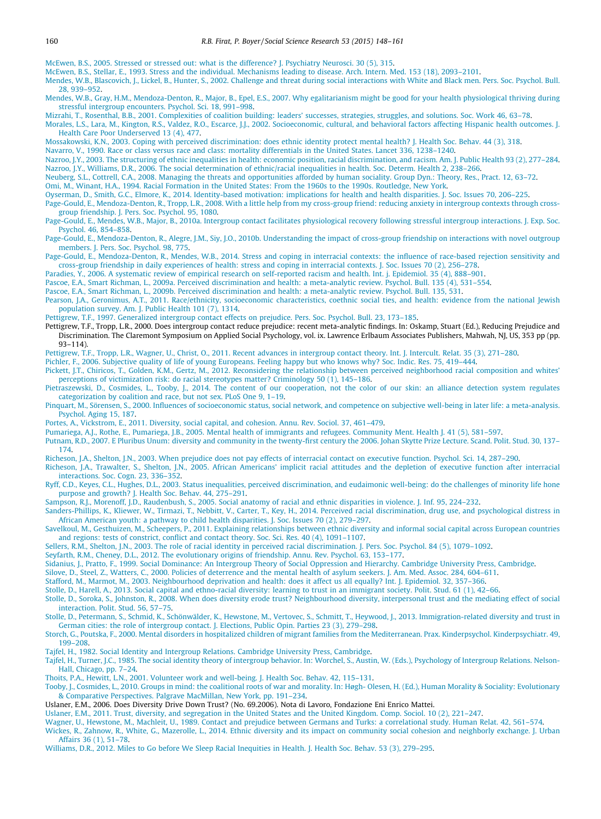<span id="page-12-0"></span>[McEwen, B.S., 2005. Stressed or stressed out: what is the difference? J. Psychiatry Neurosci. 30 \(5\), 315](http://refhub.elsevier.com/S0049-089X(15)00096-4/h9085).

[McEwen, B.S., Stellar, E., 1993. Stress and the individual. Mechanisms leading to disease. Arch. Intern. Med. 153 \(18\), 2093–2101](http://refhub.elsevier.com/S0049-089X(15)00096-4/h9090).

- [Mendes, W.B., Blascovich, J., Lickel, B., Hunter, S., 2002. Challenge and threat during social interactions with White and Black men. Pers. Soc. Psychol. Bull.](http://refhub.elsevier.com/S0049-089X(15)00096-4/h0320) [28, 939–952](http://refhub.elsevier.com/S0049-089X(15)00096-4/h0320).
- [Mendes, W.B., Gray, H.M., Mendoza-Denton, R., Major, B., Epel, E.S., 2007. Why egalitarianism might be good for your health physiological thriving during](http://refhub.elsevier.com/S0049-089X(15)00096-4/h0325) [stressful intergroup encounters. Psychol. Sci. 18, 991–998](http://refhub.elsevier.com/S0049-089X(15)00096-4/h0325).
- [Mizrahi, T., Rosenthal, B.B., 2001. Complexities of coalition building: leaders' successes, strategies, struggles, and solutions. Soc. Work 46, 63–78.](http://refhub.elsevier.com/S0049-089X(15)00096-4/h0330)
- [Morales, L.S., Lara, M., Kington, R.S., Valdez, R.O., Escarce, J.J., 2002. Socioeconomic, cultural, and behavioral factors affecting Hispanic health outcomes. J.](http://refhub.elsevier.com/S0049-089X(15)00096-4/h0335) [Health Care Poor Underserved 13 \(4\), 477.](http://refhub.elsevier.com/S0049-089X(15)00096-4/h0335)
- [Mossakowski, K.N., 2003. Coping with perceived discrimination: does ethnic identity protect mental health? J. Health Soc. Behav. 44 \(3\), 318](http://refhub.elsevier.com/S0049-089X(15)00096-4/h0340).
- [Navarro, V., 1990. Race or class versus race and class: mortality differentials in the United States. Lancet 336, 1238–1240](http://refhub.elsevier.com/S0049-089X(15)00096-4/h0345).
- [Nazroo, J.Y., 2003. The structuring of ethnic inequalities in health: economic position, racial discrimination, and racism. Am. J. Public Health 93](http://refhub.elsevier.com/S0049-089X(15)00096-4/h0350) (2), 277–284. [Nazroo, J.Y., Williams, D.R., 2006. The social determination of ethnic/racial inequalities in health. Soc. Determ. Health 2, 238–266.](http://refhub.elsevier.com/S0049-089X(15)00096-4/h0355)
- [Neuberg, S.L., Cottrell, C.A., 2008. Managing the threats and opportunities afforded by human sociality. Group Dyn.: Theory, Res., Pract. 12, 63–72.](http://refhub.elsevier.com/S0049-089X(15)00096-4/h0360)
- [Omi, M., Winant, H.A., 1994. Racial Formation in the United States: From the 1960s to the 1990s. Routledge, New York](http://refhub.elsevier.com/S0049-089X(15)00096-4/h0365).
- [Oyserman, D., Smith, G.C., Elmore, K., 2014. Identity-based motivation: implications for health and health disparities. J. Soc. Issues 70, 206–225.](http://refhub.elsevier.com/S0049-089X(15)00096-4/h0370)
- [Page-Gould, E., Mendoza-Denton, R., Tropp, L.R., 2008. With a little help from my cross-group friend: reducing anxiety in intergroup contexts through cross](http://refhub.elsevier.com/S0049-089X(15)00096-4/h0375)[group friendship. J. Pers. Soc. Psychol. 95, 1080.](http://refhub.elsevier.com/S0049-089X(15)00096-4/h0375)
- [Page-Gould, E., Mendes, W.B., Major, B., 2010a. Intergroup contact facilitates physiological recovery following stressful intergroup interactions. J. Exp. Soc.](http://refhub.elsevier.com/S0049-089X(15)00096-4/h0380) [Psychol. 46, 854–858.](http://refhub.elsevier.com/S0049-089X(15)00096-4/h0380)
- [Page-Gould, E., Mendoza-Denton, R., Alegre, J.M., Siy, J.O., 2010b. Understanding the impact of cross-group friendship on interactions with novel](http://refhub.elsevier.com/S0049-089X(15)00096-4/h0385) outgroup [members. J. Pers. Soc. Psychol. 98, 775.](http://refhub.elsevier.com/S0049-089X(15)00096-4/h0385)
- [Page-Gould, E., Mendoza-Denton, R., Mendes, W.B., 2014. Stress and coping in interracial contexts: the influence of race-based rejection sensitivity and](http://refhub.elsevier.com/S0049-089X(15)00096-4/h0390) [cross-group friendship in daily experiences of health: stress and coping in interracial contexts. J. Soc. Issues 70 \(2\), 256–278.](http://refhub.elsevier.com/S0049-089X(15)00096-4/h0390)
- [Paradies, Y., 2006. A systematic review of empirical research on self-reported racism and health. Int. j. Epidemiol. 35 \(4\), 888–901.](http://refhub.elsevier.com/S0049-089X(15)00096-4/h9100)
- [Pascoe, E.A., Smart Richman, L., 2009a. Perceived discrimination and health: a meta-analytic review. Psychol. Bull. 135 \(4\), 531–554.](http://refhub.elsevier.com/S0049-089X(15)00096-4/h0395)
- [Pascoe, E.A., Smart Richman, L., 2009b. Perceived discrimination and health: a meta-analytic review. Psychol. Bull. 135, 531](http://refhub.elsevier.com/S0049-089X(15)00096-4/h0400).
- [Pearson, J.A., Geronimus, A.T., 2011. Race/ethnicity, socioeconomic characteristics, coethnic social ties, and health: evidence from the national Jewish](http://refhub.elsevier.com/S0049-089X(15)00096-4/h9105) [population survey. Am. J. Public Health 101 \(7\), 1314.](http://refhub.elsevier.com/S0049-089X(15)00096-4/h9105)
- [Pettigrew, T.F., 1997. Generalized intergroup contact effects on prejudice. Pers. Soc. Psychol. Bull. 23, 173–185.](http://refhub.elsevier.com/S0049-089X(15)00096-4/h0405)
- Pettigrew, T.F., Tropp, L.R., 2000. Does intergroup contact reduce prejudice: recent meta-analytic findings. In: Oskamp, Stuart (Ed.), Reducing Prejudice and Discrimination. The Claremont Symposium on Applied Social Psychology, vol. ix. Lawrence Erlbaum Associates Publishers, Mahwah, NJ, US, 353 pp (pp. 93–114).
- [Pettigrew, T.F., Tropp, L.R., Wagner, U., Christ, O., 2011. Recent advances in intergroup contact theory. Int. J. Intercult. Relat. 35 \(3\), 271–280.](http://refhub.elsevier.com/S0049-089X(15)00096-4/h0415)
- [Pichler, F., 2006. Subjective quality of life of young Europeans. Feeling happy but who knows why? Soc. Indic. Res. 75, 419–444.](http://refhub.elsevier.com/S0049-089X(15)00096-4/h0420)
- [Pickett, J.T., Chiricos, T., Golden, K.M., Gertz, M., 2012. Reconsidering the relationship between perceived neighborhood racial composition and](http://refhub.elsevier.com/S0049-089X(15)00096-4/h0425) whites' [perceptions of victimization risk: do racial stereotypes matter? Criminology 50 \(1\), 145–186.](http://refhub.elsevier.com/S0049-089X(15)00096-4/h0425)
- [Pietraszewski, D., Cosmides, L., Tooby, J., 2014. The content of our cooperation, not the color of our skin: an alliance detection system regulates](http://refhub.elsevier.com/S0049-089X(15)00096-4/h0430) [categorization by coalition and race, but not sex. PLoS One 9, 1–19](http://refhub.elsevier.com/S0049-089X(15)00096-4/h0430).
- [Pinquart, M., Sörensen, S., 2000. Influences of socioeconomic status, social network, and competence on subjective well-being in later life: a meta-analysis.](http://refhub.elsevier.com/S0049-089X(15)00096-4/h0435) [Psychol. Aging 15, 187.](http://refhub.elsevier.com/S0049-089X(15)00096-4/h0435)
- [Portes, A., Vickstrom, E., 2011. Diversity, social capital, and cohesion. Annu. Rev. Sociol. 37, 461–479](http://refhub.elsevier.com/S0049-089X(15)00096-4/h0440).
- [Pumariega, A.J., Rothe, E., Pumariega, J.B., 2005. Mental health of immigrants and refugees. Community Ment. Health J. 41 \(5\), 581–597](http://refhub.elsevier.com/S0049-089X(15)00096-4/h0445).
- [Putnam, R.D., 2007. E Pluribus Unum: diversity and community in the twenty-first century the 2006. Johan Skytte Prize Lecture. Scand. Polit. Stud. 30,](http://refhub.elsevier.com/S0049-089X(15)00096-4/h0450) 137–
- [174.](http://refhub.elsevier.com/S0049-089X(15)00096-4/h0450)
- [Richeson, J.A., Shelton, J.N., 2003. When prejudice does not pay effects of interracial contact on executive function. Psychol. Sci. 14, 287–290.](http://refhub.elsevier.com/S0049-089X(15)00096-4/h0455)
- [Richeson, J.A., Trawalter, S., Shelton, J.N., 2005. African Americans' implicit racial attitudes and the depletion of executive function after interracial](http://refhub.elsevier.com/S0049-089X(15)00096-4/h0460) [interactions. Soc. Cogn. 23, 336–352.](http://refhub.elsevier.com/S0049-089X(15)00096-4/h0460)
- [Ryff, C.D., Keyes, C.L., Hughes, D.L., 2003. Status inequalities, perceived discrimination, and eudaimonic well-being: do the challenges of minority life hone](http://refhub.elsevier.com/S0049-089X(15)00096-4/h0465) [purpose and growth? J. Health Soc. Behav. 44, 275–291](http://refhub.elsevier.com/S0049-089X(15)00096-4/h0465).
- [Sampson, R.J., Morenoff, J.D., Raudenbush, S., 2005. Social anatomy of racial and ethnic disparities in violence. J. Inf. 95, 224–232.](http://refhub.elsevier.com/S0049-089X(15)00096-4/h0470)
- [Sanders-Phillips, K., Kliewer, W., Tirmazi, T., Nebbitt, V., Carter, T., Key, H., 2014. Perceived racial discrimination, drug use, and psychological distress in](http://refhub.elsevier.com/S0049-089X(15)00096-4/h9110) [African American youth: a pathway to child health disparities. J. Soc. Issues 70 \(2\), 279–297](http://refhub.elsevier.com/S0049-089X(15)00096-4/h9110).
- [Savelkoul, M., Gesthuizen, M., Scheepers, P., 2011. Explaining relationships between ethnic diversity and informal social capital across European countries](http://refhub.elsevier.com/S0049-089X(15)00096-4/h0475) [and regions: tests of constrict, conflict and contact theory. Soc. Sci. Res. 40 \(4\), 1091–1107](http://refhub.elsevier.com/S0049-089X(15)00096-4/h0475).
- [Sellers, R.M., Shelton, J.N., 2003. The role of racial identity in perceived racial discrimination. J. Pers. Soc. Psychol. 84 \(5\), 1079–1092.](http://refhub.elsevier.com/S0049-089X(15)00096-4/h0480)
- [Seyfarth, R.M., Cheney, D.L., 2012. The evolutionary origins of friendship. Annu. Rev. Psychol. 63, 153–177.](http://refhub.elsevier.com/S0049-089X(15)00096-4/h0485)
- [Sidanius, J., Pratto, F., 1999. Social Dominance: An Intergroup Theory of Social Oppression and Hierarchy. Cambridge University Press, Cambridge](http://refhub.elsevier.com/S0049-089X(15)00096-4/h0490).
- [Silove, D., Steel, Z., Watters, C., 2000. Policies of deterrence and the mental health of asylum seekers. J. Am. Med. Assoc. 284, 604–611](http://refhub.elsevier.com/S0049-089X(15)00096-4/h0495).
- [Stafford, M., Marmot, M., 2003. Neighbourhood deprivation and health: does it affect us all equally? Int. J. Epidemiol. 32, 357–366](http://refhub.elsevier.com/S0049-089X(15)00096-4/h0500).
- [Stolle, D., Harell, A., 2013. Social capital and ethno-racial diversity: learning to trust in an immigrant society. Polit. Stud. 61 \(1\), 42–66.](http://refhub.elsevier.com/S0049-089X(15)00096-4/h9115)
- [Stolle, D., Soroka, S., Johnston, R., 2008. When does diversity erode trust? Neighbourhood diversity, interpersonal trust and the mediating effect](http://refhub.elsevier.com/S0049-089X(15)00096-4/h0505) of social [interaction. Polit. Stud. 56, 57–75](http://refhub.elsevier.com/S0049-089X(15)00096-4/h0505).
- [Stolle, D., Petermann, S., Schmid, K., Schönwälder, K., Hewstone, M., Vertovec, S., Schmitt, T., Heywood, J., 2013. Immigration-related diversity](http://refhub.elsevier.com/S0049-089X(15)00096-4/h0510) and trust in [German cities: the role of intergroup contact. J. Elections, Public Opin. Parties 23 \(3\), 279–298.](http://refhub.elsevier.com/S0049-089X(15)00096-4/h0510)
- [Storch, G., Poutska, F., 2000. Mental disorders in hospitalized children of migrant families from the Mediterranean. Prax. Kinderpsychol. Kinderpsychiatr. 49,](http://refhub.elsevier.com/S0049-089X(15)00096-4/h0515) [199–208.](http://refhub.elsevier.com/S0049-089X(15)00096-4/h0515)
- [Tajfel, H., 1982. Social Identity and Intergroup Relations. Cambridge University Press, Cambridge.](http://refhub.elsevier.com/S0049-089X(15)00096-4/h0520)
- [Tajfel, H., Turner, J.C., 1985. The social identity theory of intergroup behavior. In: Worchel, S., Austin, W. \(Eds.\), Psychology of Intergroup Relations. Nelson-](http://refhub.elsevier.com/S0049-089X(15)00096-4/h0525)[Hall, Chicago, pp. 7–24](http://refhub.elsevier.com/S0049-089X(15)00096-4/h0525).
- [Thoits, P.A., Hewitt, L.N., 2001. Volunteer work and well-being. J. Health Soc. Behav. 42, 115–131](http://refhub.elsevier.com/S0049-089X(15)00096-4/h0530).
- [Tooby, J., Cosmides, L., 2010. Groups in mind: the coalitional roots of war and morality. In: Høgh- Olesen, H. \(Ed.\), Human Morality & Sociality: Evolutionary](http://refhub.elsevier.com/S0049-089X(15)00096-4/h0535) [& Comparative Perspectives. Palgrave MacMillan, New York, pp. 191–234.](http://refhub.elsevier.com/S0049-089X(15)00096-4/h0535)
- Uslaner, E.M., 2006. Does Diversity Drive Down Trust? (No. 69.2006). Nota di Lavoro, Fondazione Eni Enrico Mattei.
- [Uslaner, E.M., 2011. Trust, diversity, and segregation in the United States and the United Kingdom. Comp. Sociol. 10 \(2\), 221–247](http://refhub.elsevier.com/S0049-089X(15)00096-4/h0545).
- [Wagner, U., Hewstone, M., Machleit, U., 1989. Contact and prejudice between Germans and Turks: a correlational study. Human Relat. 42, 561–574.](http://refhub.elsevier.com/S0049-089X(15)00096-4/h0550)
- [Wickes, R., Zahnow, R., White, G., Mazerolle, L., 2014. Ethnic diversity and its impact on community social cohesion and neighborly exchange. J. Urban](http://refhub.elsevier.com/S0049-089X(15)00096-4/h0555) [Affairs 36 \(1\), 51–78.](http://refhub.elsevier.com/S0049-089X(15)00096-4/h0555)
- [Williams, D.R., 2012. Miles to Go before We Sleep Racial Inequities in Health. J. Health Soc. Behav. 53 \(3\), 279–295](http://refhub.elsevier.com/S0049-089X(15)00096-4/h9120).